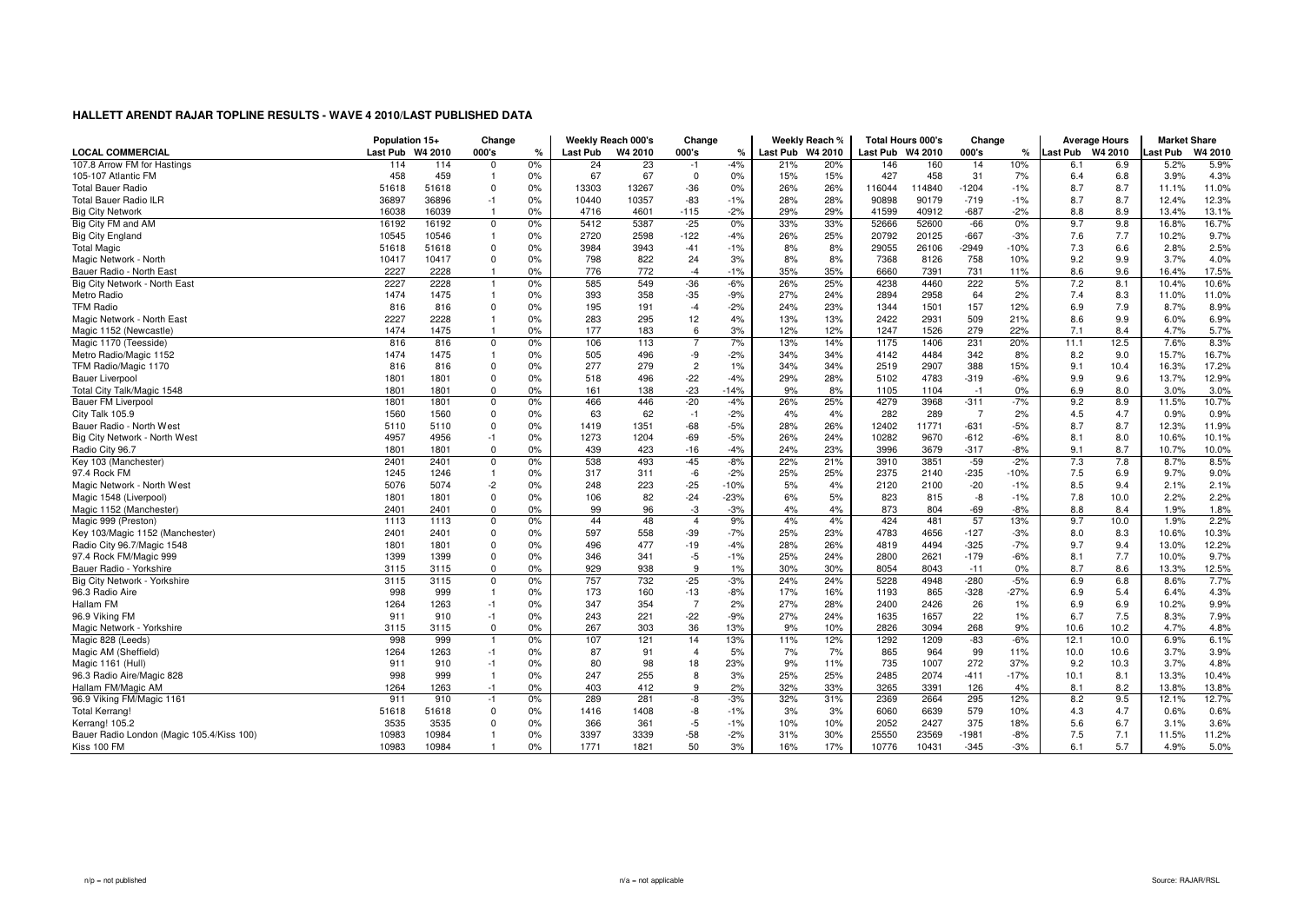|                                           | Population 15+ |              | Change           |          | Weekly Reach 000's |            | Change                  |                |                  | Weekly Reach % | <b>Total Hours 000's</b> |              | Change           |              | <b>Average Hours</b> |             | <b>Market Share</b> |               |
|-------------------------------------------|----------------|--------------|------------------|----------|--------------------|------------|-------------------------|----------------|------------------|----------------|--------------------------|--------------|------------------|--------------|----------------------|-------------|---------------------|---------------|
| <b>LOCAL COMMERCIAL</b>                   | Last Pub       | W4 2010      | 000's            | %        | <b>Last Pub</b>    | W4 2010    | 000's                   | ℀              | Last Pub W4 2010 |                | Last Pub W4 2010         |              | 000's            | ℀            | Last Pub W4 2010     |             | Last Pub            | W4 2010       |
| 107.8 Arrow FM for Hastings               | 114            | 114          | $\Omega$         | 0%       | 24                 | 23         | $-1$                    | $-4%$          | 21%              | 20%            | 146                      | 160          | 14               | 10%          | 6.1                  | 6.9         | 5.2%                | 5.9%          |
| 105-107 Atlantic FM                       | 458            | 459          | -1               | 0%       | 67                 | 67         | $\mathbf 0$             | 0%             | 15%              | 15%            | 427                      | 458          | 31               | 7%           | 6.4                  | 6.8         | 3.9%                | 4.3%          |
| <b>Total Bauer Radio</b>                  | 51618          | 51618        | $\Omega$         | 0%       | 13303              | 13267      | $-36$                   | 0%             | 26%              | 26%            | 116044                   | 114840       | $-1204$          | $-1%$        | 8.7                  | 8.7         | 11.1%               | 11.0%         |
| <b>Total Bauer Radio ILR</b>              | 36897          | 36896        | $-1$             | 0%       | 10440              | 10357      | $-83$                   | $-1%$          | 28%              | 28%            | 90898                    | 90179        | $-719$           | $-1%$        | 8.7                  | 8.7         | 12.4%               | 12.3%         |
| <b>Big City Network</b>                   | 16038          | 16039        | -1               | 0%       | 4716               | 4601       | $-115$                  | $-2%$          | 29%              | 29%            | 41599                    | 40912        | $-687$           | $-2%$        | 8.8                  | 8.9         | 13.4%               | 13.1%         |
| Big City FM and AM                        | 16192          | 16192        | $\Omega$         | 0%       | 5412               | 5387       | $-25$                   | 0%             | 33%              | 33%            | 52666                    | 52600        | $-66$            | 0%           | 9.7                  | 9.8         | 16.8%               | 16.7%         |
| <b>Big City England</b>                   | 10545          | 10546        | $\mathbf{1}$     | 0%       | 2720               | 2598       | $-122$                  | $-4%$          | 26%              | 25%            | 20792                    | 20125        | $-667$           | $-3%$        | 7.6                  | 7.7         | 10.2%               | 9.7%          |
| <b>Total Magic</b>                        | 51618          | 51618        | $\mathbf 0$      | 0%       | 3984               | 3943       | $-41$                   | $-1%$          | 8%               | 8%             | 29055                    | 26106        | $-2949$          | $-10%$       | 7.3                  | 6.6         | 2.8%                | 2.5%          |
| Magic Network - North                     | 10417          | 10417        | $\Omega$         | 0%       | 798                | 822        | 24                      | 3%             | 8%               | 8%             | 7368                     | 8126         | 758              | 10%          | 9.2                  | 9.9         | 3.7%                | 4.0%          |
| Bauer Radio - North East                  | 2227           | 2228         | $\overline{1}$   | 0%       | 776                | 772        | $-4$                    | $-1%$          | 35%              | 35%            | 6660                     | 7391         | 731              | 11%          | 8.6                  | 9.6         | 16.4%               | 17.5%         |
| Big City Network - North East             | 2227           | 2228         | -1               | 0%       | 585                | 549        | $-36$                   | $-6%$          | 26%              | 25%            | 4238                     | 4460         | 222              | 5%           | 7.2                  | 8.1         | 10.4%               | 10.6%         |
| Metro Radio                               | 1474           | 1475         | $\overline{1}$   | 0%       | 393                | 358        | $-35$                   | $-9%$          | 27%              | 24%            | 2894                     | 2958         | 64               | 2%           | 7.4                  | 8.3         | 11.0%               | 11.0%         |
| <b>TFM Radio</b>                          | 816            | 816          | $\Omega$         | 0%       | 195                | 191        | $-4$                    | $-2%$          | 24%              | 23%            | 1344                     | 1501         | 157              | 12%          | 6.9                  | 7.9         | 8.7%                | 8.9%          |
| Magic Network - North East                | 2227           | 2228         |                  | 0%       | 283                | 295        | 12                      | 4%             | 13%              | 13%            | 2422                     | 2931         | 509              | 21%          | 8.6                  | 9.9         | 6.0%                | 6.9%          |
| Magic 1152 (Newcastle)                    | 1474           | 1475         |                  | 0%       | 177                | 183        | 6                       | 3%             | 12%              | 12%            | 1247                     | 1526         | 279              | 22%          | 7.1                  | 8.4         | 4.7%                | 5.7%          |
| Magic 1170 (Teesside)                     | 816            | 816          | 0                | 0%       | 106                | 113        | $\overline{7}$          | 7%             | 13%              | 14%            | 1175                     | 1406         | 231              | 20%          | 11.1                 | 12.5        | 7.6%                | 8.3%          |
| Metro Radio/Magic 1152                    | 1474           | 1475         | $\mathbf{1}$     | 0%       | 505                | 496        | -9                      | $-2%$          | 34%              | 34%            | 4142                     | 4484         | 342              | 8%           | 8.2                  | 9.0         | 15.7%               | 16.7%         |
| TFM Radio/Magic 1170                      | 816            | 816          | $\Omega$         | 0%       | 277                | 279        | $\overline{c}$          | 1%             | 34%              | 34%            | 2519                     | 2907         | 388              | 15%          | 9.1                  | 10.4        | 16.3%               | 17.2%         |
| <b>Bauer Liverpool</b>                    | 1801           | 1801         | $\mathbf 0$      | 0%       | 518                | 496        | $-22$                   | $-4%$          | 29%              | 28%            | 5102                     | 4783         | $-319$           | $-6%$        | 9.9                  | 9.6         | 13.7%               | 12.9%         |
| Total City Talk/Magic 1548                | 1801           | 1801         | $\Omega$         | 0%       | 161                | 138        | $-23$                   | $-14%$         | 9%               | 8%             | 1105                     | 1104         | $-1$             | 0%           | 6.9                  | 8.0         | 3.0%                | 3.0%          |
| <b>Bauer FM Liverpool</b>                 | 1801           | 1801         | $\Omega$         | 0%       | 466                | 446        | $-20$                   | $-4%$          | 26%              | 25%            | 4279                     | 3968         | $-311$           | $-7%$        | 9.2                  | 8.9         | 11.5%               | 10.7%         |
| City Talk 105.9                           | 1560           | 1560         | $\Omega$         | 0%       | 63                 | 62         | $-1$                    | $-2%$          | 4%               | 4%             | 282                      | 289          | $\overline{7}$   | 2%           | 4.5                  | 4.7         | 0.9%                | 0.9%          |
| Bauer Radio - North West                  | 5110           | 5110         | 0                | 0%       | 1419               | 1351       | $-68$                   | $-5%$          | 28%              | 26%            | 12402                    | 11771        | $-631$           | $-5%$        | 8.7                  | 8.7         | 12.3%               | 11.9%         |
| Big City Network - North West             | 4957           | 4956         | $-1$             | 0%       | 1273               | 1204       | $-69$                   | $-5%$          | 26%              | 24%            | 10282                    | 9670         | $-612$           | $-6%$        | 8.1                  | 8.0         | 10.6%               | 10.1%         |
| Radio City 96.7                           | 1801           | 1801         | $\Omega$         | 0%       | 439                | 423        | $-16$                   | $-4%$          | 24%              | 23%            | 3996                     | 3679         | $-317$           | $-8%$        | 9.1                  | 8.7         | 10.7%               | 10.0%         |
| Key 103 (Manchester)                      | 2401           | 2401         | $\Omega$         | 0%       | 538                | 493        | $-45$                   | $-8%$          | 22%              | 21%            | 3910                     | 3851         | $-59$            | $-2%$        | 7.3                  | 7.8         | 8.7%                | 8.5%          |
| 97.4 Rock FM                              | 1245           | 1246         | $\overline{1}$   | 0%       | 317                | 311        | $-6$                    | $-2%$          | 25%              | 25%            | 2375                     | 2140         | $-235$           | $-10%$       | 7.5                  | 6.9         | 9.7%                | 9.0%          |
| Magic Network - North West                | 5076           | 5074         | $-2$             | 0%       | 248                | 223        | $-25$                   | $-10%$         | 5%               | 4%             | 2120                     | 2100         | $-20$            | $-1%$        | 8.5                  | 9.4         | 2.1%                | 2.1%          |
| Magic 1548 (Liverpool)                    | 1801           | 1801         | $\overline{0}$   | 0%       | 106                | 82         | $-24$                   | $-23%$         | 6%               | 5%             | 823                      | 815          | -8               | $-1%$        | 7.8                  | 10.0        | 2.2%                | 2.2%          |
|                                           | 2401           | 2401         | $\mathbf 0$      | 0%       | 99                 | 96         | -3                      | $-3%$          | 4%               | 4%             | 873                      | 804          | $-69$            | $-8%$        | 8.8                  | 8.4         | 1.9%                | 1.8%          |
| Magic 1152 (Manchester)                   | 1113           |              |                  |          | 44                 | 48         | $\overline{4}$          | 9%             | 4%               |                | 424                      | 481          | 57               |              |                      |             | 1.9%                | 2.2%          |
| Magic 999 (Preston)                       | 2401           | 1113<br>2401 | $\mathbf 0$<br>0 | 0%<br>0% | 597                | 558        | $-39$                   | $-7%$          | 25%              | 4%<br>23%      | 4783                     | 4656         | $-127$           | 13%<br>$-3%$ | 9.7<br>8.0           | 10.0<br>8.3 | 10.6%               | 10.3%         |
| Key 103/Magic 1152 (Manchester)           |                |              | $\Omega$         |          |                    | 477        |                         |                |                  |                |                          | 4494         |                  |              |                      |             |                     | 12.2%         |
| Radio City 96.7/Magic 1548                | 1801<br>1399   | 1801<br>1399 | $\mathbf 0$      | 0%<br>0% | 496<br>346         | 341        | -19                     | $-4%$<br>$-1%$ | 28%              | 26%<br>24%     | 4819<br>2800             | 2621         | $-325$<br>$-179$ | $-7%$        | 9.7                  | 9.4<br>7.7  | 13.0%<br>10.0%      | 9.7%          |
| 97.4 Rock FM/Magic 999                    |                |              | $\Omega$         |          |                    |            | $-5$                    |                | 25%              |                |                          |              |                  | $-6%$        | 8.1                  |             |                     |               |
| Bauer Radio - Yorkshire                   | 3115<br>3115   | 3115<br>3115 |                  | 0%       | 929<br>757         | 938<br>732 | 9<br>$-25$              | 1%<br>$-3%$    | 30%<br>24%       | 30%<br>24%     | 8054                     | 8043<br>4948 | $-11$<br>$-280$  | 0%           | 8.7                  | 8.6<br>6.8  | 13.3%               | 12.5%<br>7.7% |
| Big City Network - Yorkshire              |                |              | $\mathbf 0$      | 0%       |                    |            |                         |                |                  |                | 5228                     |              |                  | $-5%$        | 6.9                  |             | 8.6%                |               |
| 96.3 Radio Aire                           | 998            | 999          | $\overline{1}$   | 0%       | 173<br>347         | 160<br>354 | $-13$<br>$\overline{7}$ | $-8%$          | 17%              | 16%            | 1193                     | 865          | $-328$           | $-27%$       | 6.9                  | 5.4         | 6.4%                | 4.3%          |
| Hallam FM                                 | 1264           | 1263         | $-1$             | 0%       |                    |            |                         | 2%             | 27%              | 28%            | 2400                     | 2426         | 26               | 1%           | 6.9                  | 6.9         | 10.2%               | 9.9%          |
| 96.9 Viking FM                            | 911            | 910          | $-1$             | 0%       | 243                | 221        | $-22$                   | $-9%$          | 27%              | 24%            | 1635                     | 1657         | 22               | 1%           | 6.7                  | 7.5         | 8.3%                | 7.9%          |
| Magic Network - Yorkshire                 | 3115           | 3115         | $\Omega$         | 0%       | 267                | 303        | 36                      | 13%            | 9%               | 10%            | 2826                     | 3094         | 268              | 9%           | 10.6                 | 10.2        | 4.7%                | 4.8%          |
| Magic 828 (Leeds)                         | 998            | 999          |                  | 0%       | 107                | 121        | 14                      | 13%            | 11%              | 12%            | 1292                     | 1209         | $-83$            | $-6%$        | 12.1                 | 10.0        | 6.9%                | 6.1%          |
| Magic AM (Sheffield)                      | 1264           | 1263         | $-1$             | 0%       | 87                 | 91         | $\overline{4}$          | 5%             | 7%               | 7%             | 865                      | 964          | 99               | 11%          | 10.0                 | 10.6        | 3.7%                | 3.9%          |
| Magic 1161 (Hull)                         | 911            | 910          | $-1$             | 0%       | 80                 | 98         | 18                      | 23%            | 9%               | 11%            | 735                      | 1007         | 272              | 37%          | 9.2                  | 10.3        | 3.7%                | 4.8%          |
| 96.3 Radio Aire/Magic 828                 | 998            | 999          | $\overline{1}$   | 0%       | 247                | 255        | 8                       | 3%             | 25%              | 25%            | 2485                     | 2074         | $-411$           | $-17%$       | 10.1                 | 8.1         | 13.3%               | 10.4%         |
| Hallam FM/Magic AM                        | 1264           | 1263         | $-1$             | 0%       | 403                | 412        | 9                       | 2%             | 32%              | 33%            | 3265                     | 3391         | 126              | 4%           | 8.1                  | 8.2         | 13.8%               | 13.8%         |
| 96.9 Viking FM/Magic 1161                 | 911            | 910          | $-1$             | 0%       | 289                | 281        | -8                      | $-3%$          | 32%              | 31%            | 2369                     | 2664         | 295              | 12%          | 8.2                  | 9.5         | 12.1%               | 12.7%         |
| Total Kerrang!                            | 51618          | 51618        | $\Omega$         | 0%       | 1416               | 1408       | -8                      | $-1%$          | 3%               | 3%             | 6060                     | 6639         | 579              | 10%          | 4.3                  | 4.7         | 0.6%                | 0.6%          |
| Kerrang! 105.2                            | 3535           | 3535         | $\Omega$         | 0%       | 366                | 361        | $-5$                    | $-1%$          | 10%              | 10%            | 2052                     | 2427         | 375              | 18%          | 5.6                  | 6.7         | 3.1%                | 3.6%          |
| Bauer Radio London (Magic 105.4/Kiss 100) | 10983          | 10984        |                  | 0%       | 3397               | 3339       | $-58$                   | $-2%$          | 31%              | 30%            | 25550                    | 23569        | $-1981$          | $-8%$        | 7.5                  | 7.1         | 11.5%               | 11.2%         |
| Kiss 100 FM                               | 10983          | 10984        | $\overline{1}$   | 0%       | 1771               | 1821       | 50                      | 3%             | 16%              | 17%            | 10776                    | 10431        | $-345$           | $-3%$        | 6.1                  | 5.7         | 4.9%                | 5.0%          |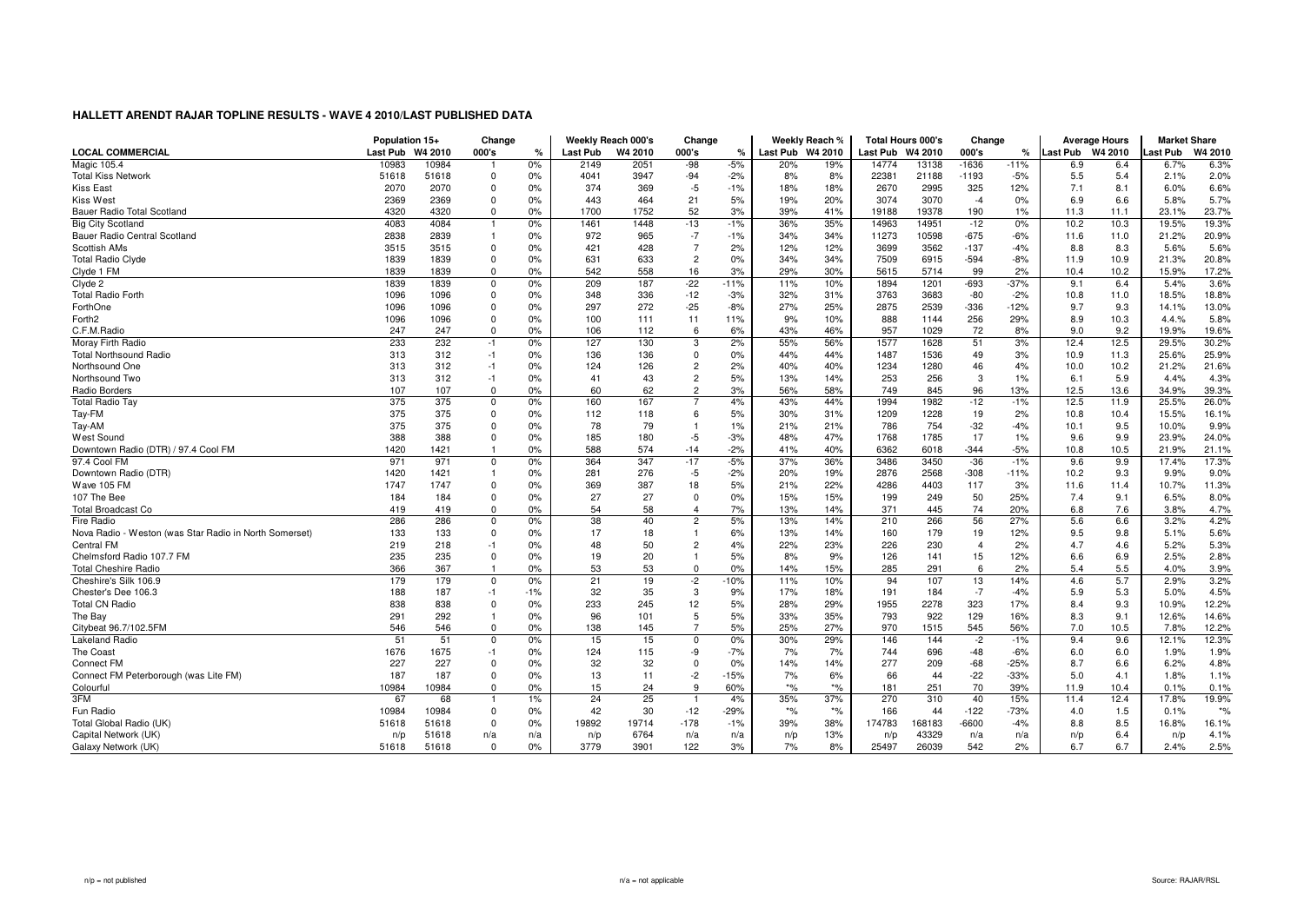|                                                        | Population 15+ |         | Change         |               | Weekly Reach 000's |         | Change         |               |                  | Weekly Reach % | <b>Total Hours 000's</b> |        | Change         |               |                 | <b>Average Hours</b> | <b>Market Share</b> |         |
|--------------------------------------------------------|----------------|---------|----------------|---------------|--------------------|---------|----------------|---------------|------------------|----------------|--------------------------|--------|----------------|---------------|-----------------|----------------------|---------------------|---------|
| <b>LOCAL COMMERCIAL</b>                                | Last Pub       | W4 2010 | 000's          | $\frac{1}{c}$ | Last Pub           | W4 2010 | 000's          | $\frac{9}{6}$ | Last Pub W4 2010 |                | Last Pub W4 2010         |        | 000's          | $\frac{9}{6}$ | <b>Last Pub</b> | W4 2010              | ∟ast Pub            | W4 2010 |
| <b>Magic 105.4</b>                                     | 10983          | 10984   |                | 0%            | 2149               | 2051    | $-98$          | $-5%$         | 20%              | 19%            | 14774                    | 13138  | $-1636$        | $-11%$        | 6.9             | 6.4                  | 6.7%                | 6.3%    |
| <b>Total Kiss Network</b>                              | 51618          | 51618   | $\mathbf 0$    | 0%            | 4041               | 3947    | $-94$          | $-2%$         | 8%               | 8%             | 22381                    | 21188  | $-1193$        | $-5%$         | 5.5             | 5.4                  | 2.1%                | 2.0%    |
| Kiss East                                              | 2070           | 2070    | 0              | 0%            | 374                | 369     | $-5$           | $-1%$         | 18%              | 18%            | 2670                     | 2995   | 325            | 12%           | 7.1             | 8.1                  | 6.0%                | 6.6%    |
| Kiss West                                              | 2369           | 2369    | $\Omega$       | 0%            | 443                | 464     | 21             | 5%            | 19%              | 20%            | 3074                     | 3070   | $-4$           | 0%            | 6.9             | 6.6                  | 5.8%                | 5.7%    |
| Bauer Radio Total Scotland                             | 4320           | 4320    | $\mathbf 0$    | 0%            | 1700               | 1752    | 52             | 3%            | 39%              | 41%            | 19188                    | 19378  | 190            | 1%            | 11.3            | 11.1                 | 23.1%               | 23.7%   |
| <b>Big City Scotland</b>                               | 4083           | 4084    | -1             | 0%            | 1461               | 1448    | $-13$          | $-1%$         | 36%              | 35%            | 14963                    | 14951  | $-12$          | 0%            | 10.2            | 10.3                 | 19.5%               | 19.3%   |
| Bauer Radio Central Scotland                           | 2838           | 2839    | $\overline{1}$ | 0%            | 972                | 965     | $-7$           | -1%           | 34%              | 34%            | 11273                    | 10598  | $-675$         | -6%           | 11.6            | 11.0                 | 21.2%               | 20.9%   |
| Scottish AMs                                           | 3515           | 3515    | $\Omega$       | 0%            | 421                | 428     | $\overline{7}$ | 2%            | 12%              | 12%            | 3699                     | 3562   | $-137$         | $-4%$         | 8.8             | 8.3                  | 5.6%                | 5.6%    |
| <b>Total Radio Clyde</b>                               | 1839           | 1839    | $\Omega$       | 0%            | 631                | 633     | $\overline{2}$ | 0%            | 34%              | 34%            | 7509                     | 6915   | $-594$         | $-8%$         | 11.9            | 10.9                 | 21.3%               | 20.8%   |
| Clyde 1 FM                                             | 1839           | 1839    | $\Omega$       | 0%            | 542                | 558     | 16             | 3%            | 29%              | 30%            | 5615                     | 5714   | 99             | 2%            | 10.4            | 10.2                 | 15.9%               | 17.2%   |
| Clyde 2                                                | 1839           | 1839    | 0              | 0%            | 209                | 187     | $-22$          | $-11%$        | 11%              | 10%            | 1894                     | 1201   | $-693$         | $-37%$        | 9.1             | 6.4                  | 5.4%                | 3.6%    |
| <b>Total Radio Forth</b>                               | 1096           | 1096    | $\Omega$       | 0%            | 348                | 336     | $-12$          | $-3%$         | 32%              | 31%            | 3763                     | 3683   | -80            | $-2%$         | 10.8            | 11.0                 | 18.5%               | 18.8%   |
| ForthOne                                               | 1096           | 1096    | $\Omega$       | 0%            | 297                | 272     | $-25$          | $-8%$         | 27%              | 25%            | 2875                     | 2539   | $-336$         | $-12%$        | 9.7             | 9.3                  | 14.1%               | 13.0%   |
| Forth <sub>2</sub>                                     | 1096           | 1096    | $\Omega$       | 0%            | 100                | 111     | 11             | 11%           | 9%               | 10%            | 888                      | 1144   | 256            | 29%           | 8.9             | 10.3                 | 4.4.%               | 5.8%    |
| C.F.M.Radio                                            | 247            | 247     | $\Omega$       | 0%            | 106                | 112     | 6              | 6%            | 43%              | 46%            | 957                      | 1029   | 72             | 8%            | 9.0             | 9.2                  | 19.9%               | 19.6%   |
| Moray Firth Radio                                      | 233            | 232     | $-1$           | 0%            | 127                | 130     | 3              | 2%            | 55%              | 56%            | 1577                     | 1628   | 51             | 3%            | 12.4            | 12.5                 | 29.5%               | 30.2%   |
| <b>Total Northsound Radio</b>                          | 313            | 312     | $-1$           | 0%            | 136                | 136     | $\mathbf 0$    | 0%            | 44%              | 44%            | 1487                     | 1536   | 49             | 3%            | 10.9            | 11.3                 | 25.6%               | 25.9%   |
| Northsound One                                         | 313            | 312     | $-1$           | 0%            | 124                | 126     | $\overline{2}$ | 2%            | 40%              | 40%            | 1234                     | 1280   | 46             | 4%            | 10.0            | 10.2                 | 21.2%               | 21.6%   |
| Northsound Two                                         | 313            | 312     | $-1$           | 0%            | 41                 | 43      | $\overline{c}$ | 5%            | 13%              | 14%            | 253                      | 256    | 3              | 1%            | 6.1             | 5.9                  | 4.4%                | 4.3%    |
| Radio Borders                                          | 107            | 107     | $\mathbf 0$    | 0%            | 60                 | 62      | $\overline{2}$ | 3%            | 56%              | 58%            | 749                      | 845    | 96             | 13%           | 12.5            | 13.6                 | 34.9%               | 39.3%   |
| <b>Total Radio Tay</b>                                 | 375            | 375     | $\Omega$       | 0%            | 160                | 167     |                | 4%            | 43%              | 44%            | 1994                     | 1982   | $-12$          | $-1%$         | 12.5            | 11.9                 | 25.5%               | 26.0%   |
| Tay-FM                                                 | 375            | 375     | $\Omega$       | 0%            | 112                | 118     | 6              | 5%            | 30%              | 31%            | 1209                     | 1228   | 19             | 2%            | 10.8            | 10.4                 | 15.5%               | 16.1%   |
| Tay-AM                                                 | 375            | 375     | $\Omega$       | 0%            | 78                 | 79      | $\overline{1}$ | 1%            | 21%              | 21%            | 786                      | 754    | $-32$          | $-4%$         | 10.1            | 9.5                  | 10.0%               | 9.9%    |
| <b>West Sound</b>                                      | 388            | 388     | $\Omega$       | 0%            | 185                | 180     | $-5$           | $-3%$         | 48%              | 47%            | 1768                     | 1785   | 17             | 1%            | 9.6             | 9.9                  | 23.9%               | 24.0%   |
| Downtown Radio (DTR) / 97.4 Cool FM                    | 1420           | 1421    | $\overline{1}$ | 0%            | 588                | 574     | $-14$          | $-2%$         | 41%              | 40%            | 6362                     | 6018   | $-344$         | $-5%$         | 10.8            | 10.5                 | 21.9%               | 21.1%   |
| 97.4 Cool FM                                           | 971            | 971     | $\Omega$       | 0%            | 364                | 347     | $-17$          | $-5%$         | 37%              | 36%            | 3486                     | 3450   | $-36$          | $-1%$         | 9.6             | 9.9                  | 17.4%               | 17.3%   |
| Downtown Radio (DTR)                                   | 1420           | 1421    | -1             | 0%            | 281                | 276     | $-5$           | $-2%$         | 20%              | 19%            | 2876                     | 2568   | $-308$         | $-11%$        | 10.2            | 9.3                  | 9.9%                | 9.0%    |
| Wave 105 FM                                            | 1747           | 1747    | $\Omega$       | 0%            | 369                | 387     | 18             | 5%            | 21%              | 22%            | 4286                     | 4403   | 117            | 3%            | 11.6            | 11.4                 | 10.7%               | 11.3%   |
| 107 The Bee                                            | 184            | 184     | $\mathbf 0$    | 0%            | 27                 | 27      | $\mathbf 0$    | 0%            | 15%              | 15%            | 199                      | 249    | 50             | 25%           | 7.4             | 9.1                  | 6.5%                | 8.0%    |
| <b>Total Broadcast Co</b>                              | 419            | 419     | $\Omega$       | 0%            | 54                 | 58      | $\overline{4}$ | 7%            | 13%              | 14%            | 371                      | 445    | 74             | 20%           | 6.8             | 7.6                  | 3.8%                | 4.7%    |
| <b>Fire Radio</b>                                      | 286            | 286     | $\Omega$       | 0%            | 38                 | 40      | $\overline{2}$ | 5%            | 13%              | 14%            | 210                      | 266    | 56             | 27%           | 5.6             | 6.6                  | 3.2%                | 4.2%    |
| Nova Radio - Weston (was Star Radio in North Somerset) | 133            | 133     | $\Omega$       | 0%            | 17                 | 18      | $\overline{1}$ | 6%            | 13%              | 14%            | 160                      | 179    | 19             | 12%           | 9.5             | 9.8                  | 5.1%                | 5.6%    |
| <b>Central FM</b>                                      | 219            | 218     | $-1$           | 0%            | 48                 | 50      | $\overline{2}$ | 4%            | 22%              | 23%            | 226                      | 230    | $\overline{4}$ | 2%            | 4.7             | 4.6                  | 5.2%                | 5.3%    |
| Chelmsford Radio 107.7 FM                              | 235            | 235     | $\mathbf 0$    | 0%            | 19                 | 20      | $\overline{1}$ | 5%            | 8%               | 9%             | 126                      | 141    | 15             | 12%           | 6.6             | 6.9                  | 2.5%                | 2.8%    |
| <b>Total Cheshire Radio</b>                            | 366            | 367     |                | 0%            | 53                 | 53      | $\mathbf 0$    | 0%            | 14%              | 15%            | 285                      | 291    | 6              | 2%            | 5.4             | 5.5                  | 4.0%                | 3.9%    |
| Cheshire's Silk 106.9                                  | 179            | 179     | $\Omega$       | 0%            | 21                 | 19      | $-2$           | $-10%$        | 11%              | 10%            | 94                       | 107    | 13             | 14%           | 4.6             | 5.7                  | 2.9%                | 3.2%    |
| Chester's Dee 106.3                                    | 188            | 187     | $-1$           | $-1%$         | 32                 | 35      | 3              | 9%            | 17%              | 18%            | 191                      | 184    | $-7$           | $-4%$         | 5.9             | 5.3                  | 5.0%                | 4.5%    |
| <b>Total CN Radio</b>                                  | 838            | 838     | $\mathbf 0$    | 0%            | 233                | 245     | 12             | 5%            | 28%              | 29%            | 1955                     | 2278   | 323            | 17%           | 8.4             | 9.3                  | 10.9%               | 12.2%   |
| The Bay                                                | 291            | 292     | $\overline{1}$ | 0%            | 96                 | 101     | 5              | 5%            | 33%              | 35%            | 793                      | 922    | 129            | 16%           | 8.3             | 9.1                  | 12.6%               | 14.6%   |
| Citybeat 96.7/102.5FM                                  | 546            | 546     | $\mathbf 0$    | 0%            | 138                | 145     | $\overline{7}$ | 5%            | 25%              | 27%            | 970                      | 1515   | 545            | 56%           | 7.0             | 10.5                 | 7.8%                | 12.2%   |
| <b>Lakeland Radio</b>                                  | 51             | 51      | $\Omega$       | 0%            | 15                 | 15      | $\overline{0}$ | 0%            | 30%              | 29%            | 146                      | 144    | $-2$           | $-1%$         | 9.4             | 9.6                  | 12.1%               | 12.3%   |
| The Coast                                              | 1676           | 1675    | $-1$           | 0%            | 124                | 115     | -9             | -7%           | 7%               | 7%             | 744                      | 696    | $-48$          | $-6%$         | 6.0             | 6.0                  | 1.9%                | 1.9%    |
| <b>Connect FM</b>                                      | 227            | 227     | $\Omega$       | 0%            | 32                 | 32      | $\mathbf 0$    | 0%            | 14%              | 14%            | 277                      | 209    | $-68$          | $-25%$        | 8.7             | 6.6                  | 6.2%                | 4.8%    |
| Connect FM Peterborough (was Lite FM)                  | 187            | 187     | $\mathbf 0$    | 0%            | 13                 | 11      | $-2$           | $-15%$        | 7%               | 6%             | 66                       | 44     | $-22$          | $-33%$        | 5.0             | 4.1                  | 1.8%                | 1.1%    |
| Colourful                                              | 10984          | 10984   | $\Omega$       | 0%            | 15                 | 24      | 9              | 60%           | $*$ %            | $*_{\%}$       | 181                      | 251    | 70             | 39%           | 11.9            | 10.4                 | 0.1%                | 0.1%    |
| 3FM                                                    | 67             | 68      |                | 1%            | 24                 | 25      | -1             | 4%            | 35%              | 37%            | 270                      | 310    | 40             | 15%           | 11.4            | 12.4                 | 17.8%               | 19.9%   |
| Fun Radio                                              | 10984          | 10984   | $\Omega$       | 0%            | 42                 | 30      | $-12$          | $-29%$        | $*$ %            | $*$ %          | 166                      | 44     | $-122$         | $-73%$        | 4.0             | 1.5                  | 0.1%                | $*$ %   |
| Total Global Radio (UK)                                | 51618          | 51618   | $\Omega$       | 0%            | 19892              | 19714   | $-178$         | $-1%$         | 39%              | 38%            | 174783                   | 168183 | $-6600$        | $-4%$         | 8.8             | 8.5                  | 16.8%               | 16.1%   |
| Capital Network (UK)                                   | n/p            | 51618   | n/a            | n/a           | n/p                | 6764    | n/a            | n/a           | n/p              | 13%            | n/p                      | 43329  | n/a            | n/a           | n/p             | 6.4                  | n/p                 | 4.1%    |
| Galaxy Network (UK)                                    | 51618          | 51618   | $\mathbf 0$    | 0%            | 3779               | 3901    | 122            | 3%            | 7%               | 8%             | 25497                    | 26039  | 542            | 2%            | 6.7             | 6.7                  | 2.4%                | 2.5%    |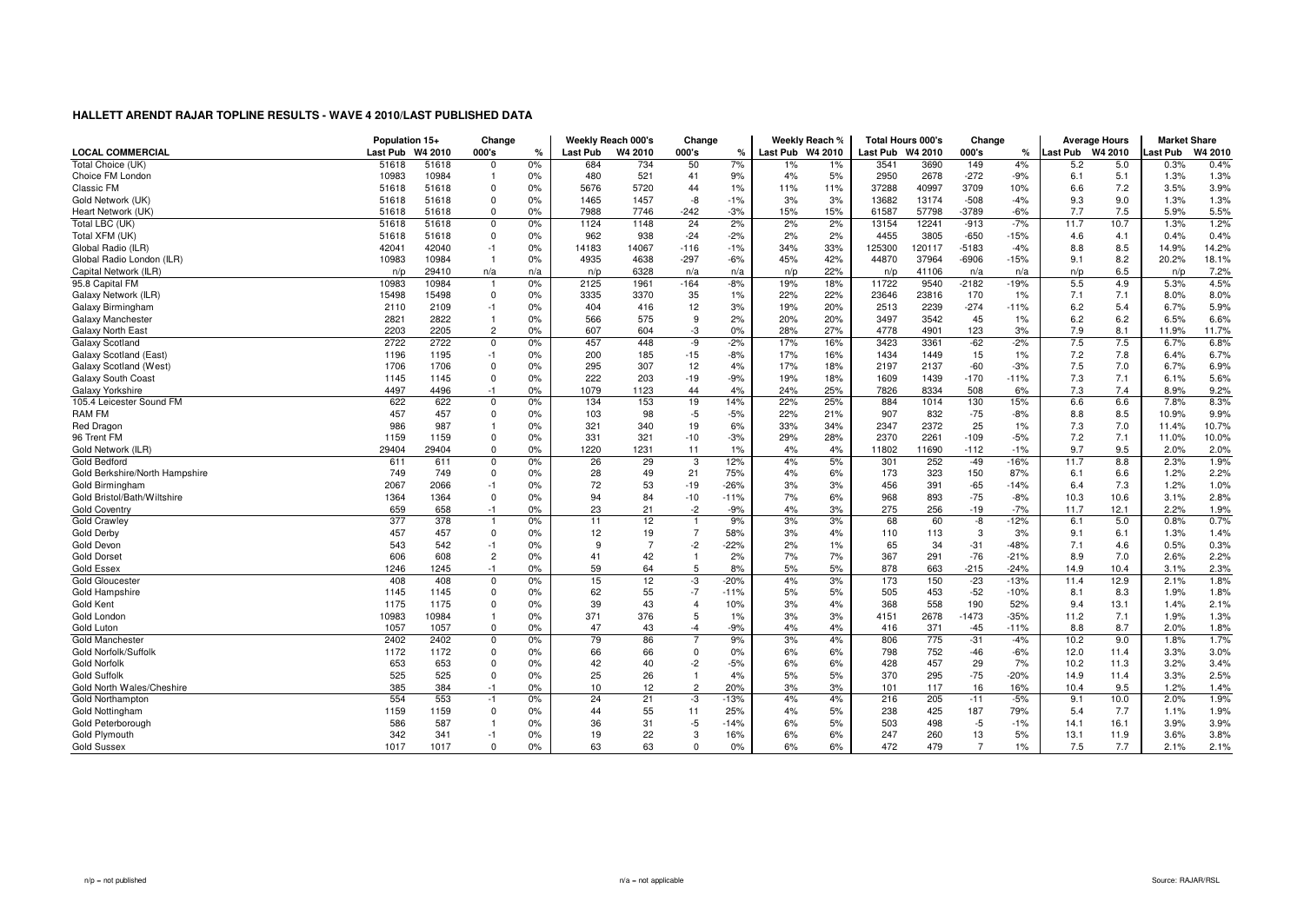|                                | Population 15+  |         | Change         |               |                 | Weekly Reach 000's | Change         |        |                  | Weekly Reach % | <b>Total Hours 000's</b> |        | Change  |               |          | <b>Average Hours</b> | <b>Market Share</b> |         |
|--------------------------------|-----------------|---------|----------------|---------------|-----------------|--------------------|----------------|--------|------------------|----------------|--------------------------|--------|---------|---------------|----------|----------------------|---------------------|---------|
| <b>LOCAL COMMERCIAL</b>        | <b>Last Pub</b> | W4 2010 | 000's          | $\frac{1}{c}$ | <b>Last Pub</b> | W4 2010            | 000's          | ℀      | Last Pub W4 2010 |                | Last Pub W4 2010         |        | 000's   | $\frac{9}{6}$ | Last Pub | W4 2010              | Last Pub            | W4 2010 |
| Total Choice (UK)              | 51618           | 51618   | $\mathbf 0$    | 0%            | 684             | 734                | 50             | 7%     | 1%               | 1%             | 3541                     | 3690   | 149     | 4%            | 5.2      | 5.0                  | 0.3%                | 0.4%    |
| Choice FM London               | 10983           | 10984   | -1             | 0%            | 480             | 521                | 41             | 9%     | 4%               | 5%             | 2950                     | 2678   | $-272$  | -9%           | 6.1      | 5.1                  | 1.3%                | 1.3%    |
| Classic FM                     | 51618           | 51618   | $\Omega$       | 0%            | 5676            | 5720               | 44             | 1%     | 11%              | 11%            | 37288                    | 40997  | 3709    | 10%           | 6.6      | 7.2                  | 3.5%                | 3.9%    |
| Gold Network (UK)              | 51618           | 51618   | $\Omega$       | 0%            | 1465            | 1457               | -8             | $-1%$  | 3%               | 3%             | 13682                    | 13174  | $-508$  | $-4%$         | 9.3      | 9.0                  | 1.3%                | 1.3%    |
| Heart Network (UK)             | 51618           | 51618   | $\mathbf 0$    | 0%            | 7988            | 7746               | $-242$         | $-3%$  | 15%              | 15%            | 61587                    | 57798  | $-3789$ | $-6%$         | 7.7      | 7.5                  | 5.9%                | 5.5%    |
| Total LBC (UK)                 | 51618           | 51618   | 0              | 0%            | 1124            | 1148               | 24             | 2%     | 2%               | 2%             | 13154                    | 12241  | $-913$  | $-7%$         | 11.7     | 10.7                 | 1.3%                | 1.2%    |
| Total XFM (UK)                 | 51618           | 51618   | $\Omega$       | 0%            | 962             | 938                | $-24$          | $-2%$  | 2%               | 2%             | 4455                     | 3805   | $-650$  | $-15%$        | 4.6      | 4.1                  | 0.4%                | 0.4%    |
| Global Radio (ILR)             | 42041           | 42040   | $-1$           | 0%            | 14183           | 14067              | $-116$         | $-1%$  | 34%              | 33%            | 125300                   | 120117 | $-5183$ | $-4%$         | 8.8      | 8.5                  | 14.9%               | 14.2%   |
| Global Radio London (ILR)      | 10983           | 10984   | $\overline{1}$ | 0%            | 4935            | 4638               | $-297$         | $-6%$  | 45%              | 42%            | 44870                    | 37964  | $-6906$ | $-15%$        | 9.1      | 8.2                  | 20.2%               | 18.1%   |
| Capital Network (ILR)          | n/p             | 29410   | n/a            | n/a           | n/p             | 6328               | n/a            | n/a    | n/p              | 22%            | n/p                      | 41106  | n/a     | n/a           | n/p      | 6.5                  | n/p                 | 7.2%    |
| 95.8 Capital FM                | 10983           | 10984   |                | 0%            | 2125            | 1961               | $-164$         | $-8%$  | 19%              | 18%            | 11722                    | 9540   | $-2182$ | $-19%$        | 5.5      | 4.9                  | 5.3%                | 4.5%    |
| Galaxy Network (ILR)           | 15498           | 15498   | $\overline{0}$ | 0%            | 3335            | 3370               | 35             | 1%     | 22%              | 22%            | 23646                    | 23816  | 170     | 1%            | 7.1      | 7.1                  | 8.0%                | 8.0%    |
| Galaxy Birmingham              | 2110            | 2109    | $-1$           | 0%            | 404             | 416                | 12             | 3%     | 19%              | 20%            | 2513                     | 2239   | $-274$  | $-11%$        | 6.2      | 5.4                  | 6.7%                | 5.9%    |
| Galaxy Manchester              | 2821            | 2822    | $\overline{1}$ | 0%            | 566             | 575                | 9              | 2%     | 20%              | 20%            | 3497                     | 3542   | 45      | 1%            | 6.2      | 6.2                  | 6.5%                | 6.6%    |
| Galaxy North East              | 2203            | 2205    | $\overline{2}$ | 0%            | 607             | 604                | -3             | 0%     | 28%              | 27%            | 4778                     | 4901   | 123     | 3%            | 7.9      | 8.1                  | 11.9%               | 11.7%   |
| Galaxy Scotland                | 2722            | 2722    | 0              | 0%            | 457             | 448                | -9             | $-2%$  | 17%              | 16%            | 3423                     | 3361   | $-62$   | $-2%$         | 7.5      | 7.5                  | 6.7%                | 6.8%    |
| Galaxy Scotland (East)         | 1196            | 1195    | $-1$           | 0%            | 200             | 185                | $-15$          | $-8%$  | 17%              | 16%            | 1434                     | 1449   | 15      | $1\%$         | 7.2      | 7.8                  | 6.4%                | 6.7%    |
| Galaxy Scotland (West)         | 1706            | 1706    | $\Omega$       | 0%            | 295             | 307                | 12             | 4%     | 17%              | 18%            | 2197                     | 2137   | $-60$   | $-3%$         | 7.5      | 7.0                  | 6.7%                | 6.9%    |
| Galaxy South Coast             | 1145            | 1145    | $\mathbf 0$    | 0%            | 222             | 203                | $-19$          | $-9%$  | 19%              | 18%            | 1609                     | 1439   | $-170$  | $-11%$        | 7.3      | 7.1                  | 6.1%                | 5.6%    |
| Galaxy Yorkshire               | 4497            | 4496    | $-1$           | 0%            | 1079            | 1123               | 44             | 4%     | 24%              | 25%            | 7826                     | 8334   | 508     | 6%            | 7.3      | 7.4                  | 8.9%                | 9.2%    |
| 105.4 Leicester Sound FM       | 622             | 622     | $\Omega$       | 0%            | 134             | 153                | 19             | 14%    | 22%              | 25%            | 884                      | 1014   | 130     | 15%           | 6.6      | 6.6                  | 7.8%                | 8.3%    |
| <b>RAM FM</b>                  | 457             | 457     | $\Omega$       | 0%            | 103             | 98                 | $-5$           | $-5%$  | 22%              | 21%            | 907                      | 832    | $-75$   | $-8%$         | 8.8      | 8.5                  | 10.9%               | 9.9%    |
| Red Dragon                     | 986             | 987     |                | 0%            | 321             | 340                | 19             | 6%     | 33%              | 34%            | 2347                     | 2372   | 25      | 1%            | 7.3      | 7.0                  | 11.4%               | 10.7%   |
| 96 Trent FM                    | 1159            | 1159    | $\Omega$       | 0%            | 331             | 321                | $-10$          | $-3%$  | 29%              | 28%            | 2370                     | 2261   | $-109$  | $-5%$         | 7.2      | 7.1                  | 11.0%               | 10.0%   |
| Gold Network (ILR)             | 29404           | 29404   | $\Omega$       | 0%            | 1220            | 1231               | 11             | 1%     | 4%               | 4%             | 11802                    | 11690  | $-112$  | $-1%$         | 9.7      | 9.5                  | 2.0%                | 2.0%    |
| <b>Gold Bedford</b>            | 611             | 611     | $\Omega$       | 0%            | 26              | 29                 | 3              | 12%    | 4%               | 5%             | 301                      | 252    | $-49$   | $-16%$        | 11.7     | 8.8                  | 2.3%                | 1.9%    |
| Gold Berkshire/North Hampshire | 749             | 749     | $\Omega$       | 0%            | 28              | 49                 | 21             | 75%    | 4%               | 6%             | 173                      | 323    | 150     | 87%           | 6.1      | 6.6                  | 1.2%                | 2.2%    |
| Gold Birmingham                | 2067            | 2066    | $-1$           | 0%            | 72              | 53                 | -19            | $-26%$ | 3%               | 3%             | 456                      | 391    | $-65$   | $-14%$        | 6.4      | 7.3                  | 1.2%                | 1.0%    |
| Gold Bristol/Bath/Wiltshire    | 1364            | 1364    | $\mathbf 0$    | 0%            | 94              | 84                 | $-10$          | $-11%$ | 7%               | 6%             | 968                      | 893    | $-75$   | $-8%$         | 10.3     | 10.6                 | 3.1%                | 2.8%    |
| <b>Gold Coventry</b>           | 659             | 658     | $-1$           | 0%            | 23              | 21                 | $-2$           | $-9%$  | 4%               | 3%             | 275                      | 256    | $-19$   | $-7%$         | 11.7     | 12.1                 | 2.2%                | 1.9%    |
| <b>Gold Crawley</b>            | 377             | 378     |                | 0%            | 11              | 12                 | $\overline{1}$ | 9%     | 3%               | 3%             | 68                       | 60     | -8      | $-12%$        | 6.1      | 5.0                  | 0.8%                | 0.7%    |
| Gold Derby                     | 457             | 457     | $\Omega$       | 0%            | 12              | 19                 | $\overline{7}$ | 58%    | 3%               | 4%             | 110                      | 113    | 3       | 3%            | 9.1      | 6.1                  | 1.3%                | 1.4%    |
| Gold Devon                     | 543             | 542     | $-1$           | 0%            | 9               | $\overline{7}$     | $-2$           | $-22%$ | 2%               | 1%             | 65                       | 34     | $-31$   | $-48%$        | 7.1      | 4.6                  | 0.5%                | 0.3%    |
| <b>Gold Dorset</b>             | 606             | 608     | $\overline{2}$ | 0%            | 41              | 42                 | $\overline{1}$ | 2%     | 7%               | 7%             | 367                      | 291    | $-76$   | $-21%$        | 8.9      | 7.0                  | 2.6%                | 2.2%    |
| <b>Gold Essex</b>              | 1246            | 1245    | $-1$           | 0%            | 59              | 64                 | 5              | 8%     | 5%               | 5%             | 878                      | 663    | $-215$  | $-24%$        | 14.9     | 10.4                 | 3.1%                | 2.3%    |
| <b>Gold Gloucester</b>         | 408             | 408     | $\Omega$       | 0%            | 15              | 12                 | -3             | $-20%$ | 4%               | 3%             | 173                      | 150    | $-23$   | $-13%$        | 11.4     | 12.9                 | 2.1%                | 1.8%    |
| Gold Hampshire                 | 1145            | 1145    | $\Omega$       | 0%            | 62              | 55                 | $-7$           | $-11%$ | 5%               | 5%             | 505                      | 453    | $-52$   | $-10%$        | 8.1      | 8.3                  | 1.9%                | 1.8%    |
| Gold Kent                      | 1175            | 1175    | $\Omega$       | 0%            | 39              | 43                 | $\overline{4}$ | 10%    | 3%               | 4%             | 368                      | 558    | 190     | 52%           | 9.4      | 13.1                 | 1.4%                | 2.1%    |
| Gold London                    | 10983           | 10984   |                | 0%            | 371             | 376                | 5              | 1%     | 3%               | 3%             | 4151                     | 2678   | $-1473$ | $-35%$        | 11.2     | 7.1                  | 1.9%                | 1.3%    |
| Gold Luton                     | 1057            | 1057    | $\mathbf 0$    | 0%            | 47              | 43                 | $-4$           | $-9%$  | 4%               | 4%             | 416                      | 371    | $-45$   | $-11%$        | 8.8      | 8.7                  | 2.0%                | 1.8%    |
| Gold Manchester                | 2402            | 2402    | $\mathbf 0$    | 0%            | 79              | 86                 | $\overline{7}$ | 9%     | 3%               | 4%             | 806                      | 775    | $-31$   | $-4%$         | 10.2     | 9.0                  | 1.8%                | 1.7%    |
| Gold Norfolk/Suffolk           | 1172            | 1172    | $\Omega$       | 0%            | 66              | 66                 | $\mathbf 0$    | 0%     | 6%               | 6%             | 798                      | 752    | $-46$   | $-6%$         | 12.0     | 11.4                 | 3.3%                | 3.0%    |
| <b>Gold Norfolk</b>            | 653             | 653     | $\Omega$       | 0%            | 42              | 40                 | $-2$           | $-5%$  | 6%               | 6%             | 428                      | 457    | 29      | 7%            | 10.2     | 11.3                 | 3.2%                | 3.4%    |
| <b>Gold Suffolk</b>            | 525             | 525     | $\Omega$       | 0%            | 25              | 26                 | $\overline{1}$ | 4%     | 5%               | 5%             | 370                      | 295    | $-75$   | $-20%$        | 14.9     | 11.4                 | 3.3%                | 2.5%    |
| Gold North Wales/Cheshire      | 385             | 384     | $-1$           | 0%            | 10              | 12                 | $\overline{2}$ | 20%    | 3%               | 3%             | 101                      | 117    | 16      | 16%           | 10.4     | 9.5                  | 1.2%                | 1.4%    |
| <b>Gold Northampton</b>        | 554             | 553     | $-1$           | 0%            | 24              | 21                 | -3             | $-13%$ | 4%               | 4%             | 216                      | 205    | $-11$   | $-5%$         | 9.1      | 10.0                 | 2.0%                | 1.9%    |
| Gold Nottingham                | 1159            | 1159    | $\Omega$       | 0%            | 44              | 55                 | 11             | 25%    | 4%               | 5%             | 238                      | 425    | 187     | 79%           | 5.4      | 7.7                  | 1.1%                | 1.9%    |
| Gold Peterborough              | 586             | 587     | $\overline{1}$ | 0%            | 36              | 31                 | $-5$           | $-14%$ | 6%               | 5%             | 503                      | 498    | $-5$    | $-1%$         | 14.1     | 16.1                 | 3.9%                | 3.9%    |
| Gold Plymouth                  | 342             | 341     | $-1$           | 0%            | 19              | 22                 | 3              | 16%    | 6%               | 6%             | 247                      | 260    | 13      | 5%            | 13.1     | 11.9                 | 3.6%                | 3.8%    |
| <b>Gold Sussex</b>             | 1017            | 1017    | $\Omega$       | 0%            | 63              | 63                 | $\Omega$       | 0%     | 6%               | 6%             | 472                      | 479    | 7       | 1%            | 7.5      | 7.7                  | 2.1%                | 2.1%    |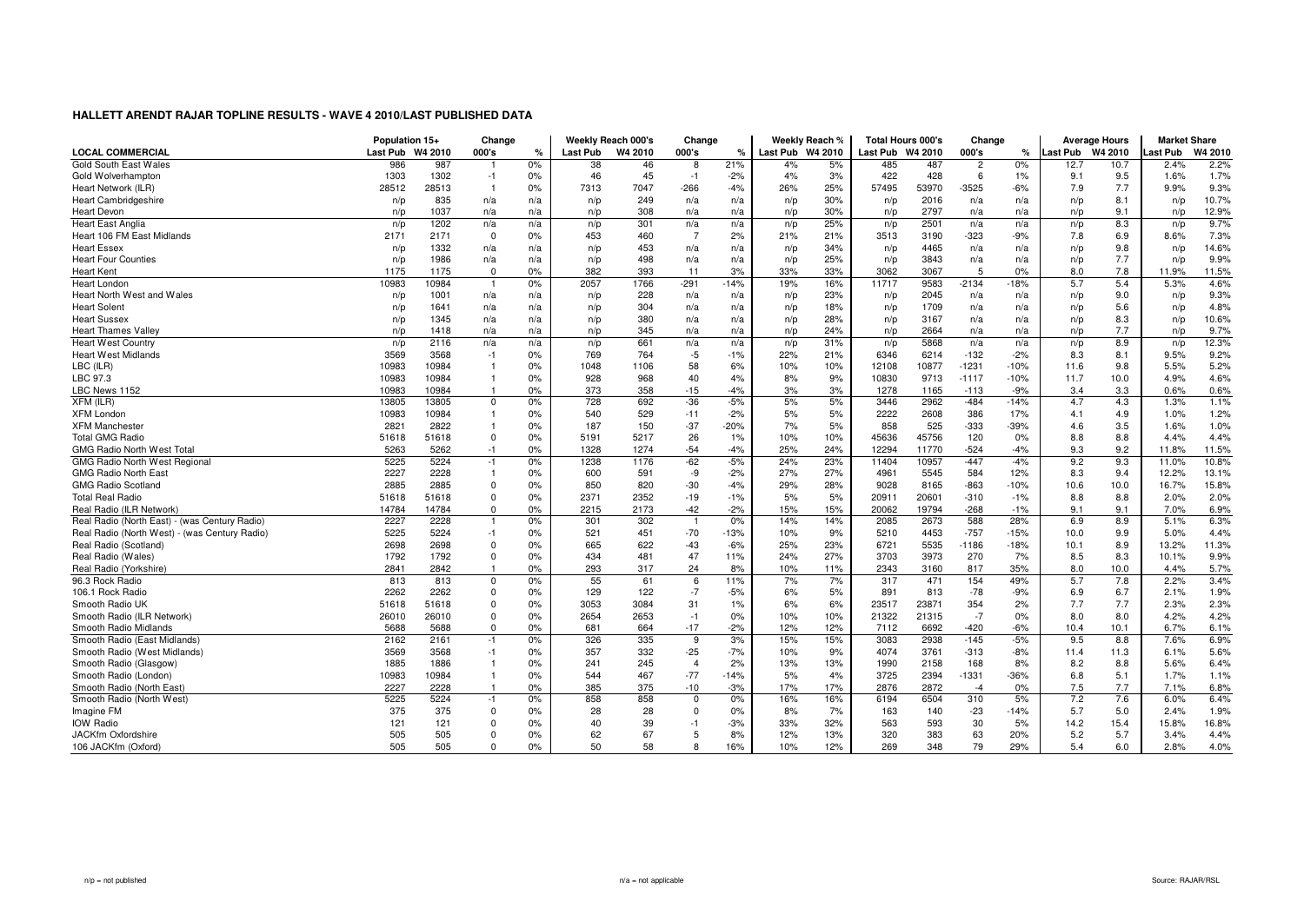|                                               | Population 15+ |         | Change         |               | Weekly Reach 000's |         | Change                  |               |                  | Weekly Reach % | <b>Total Hours 000's</b> |       | Change         |               | <b>Average Hours</b> |      | <b>Market Share</b> |         |
|-----------------------------------------------|----------------|---------|----------------|---------------|--------------------|---------|-------------------------|---------------|------------------|----------------|--------------------------|-------|----------------|---------------|----------------------|------|---------------------|---------|
| <b>LOCAL COMMERCIAL</b>                       | Last Pub       | W4 2010 | 000's          | $\frac{1}{c}$ | Last Pub           | W4 2010 | 000's                   | $\frac{9}{6}$ | Last Pub W4 2010 |                | Last Pub W4 2010         |       | 000's          | $\frac{9}{6}$ | Last Pub W4 2010     |      | Last Pub            | W4 2010 |
| Gold South East Wales                         | 986            | 987     |                | 0%            | 38                 | 46      | 8                       | 21%           | 4%               | 5%             | 485                      | 487   | $\overline{2}$ | 0%            | 12.7                 | 10.7 | 2.4%                | 2.2%    |
| Gold Wolverhampton                            | 1303           | 1302    | $-1$           | 0%            | 46                 | 45      | $-1$                    | $-2%$         | 4%               | 3%             | 422                      | 428   | 6              | $1\%$         | 9.1                  | 9.5  | 1.6%                | 1.7%    |
| Heart Network (ILR)                           | 28512          | 28513   | $\overline{1}$ | 0%            | 7313               | 7047    | $-266$                  | $-4%$         | 26%              | 25%            | 57495                    | 53970 | $-3525$        | $-6%$         | 7.9                  | 7.7  | 9.9%                | 9.3%    |
| <b>Heart Cambridgeshire</b>                   | n/p            | 835     | n/a            | n/a           | n/p                | 249     | n/a                     | n/a           | n/p              | 30%            | n/p                      | 2016  | n/a            | n/a           | n/p                  | 8.1  | n/p                 | 10.7%   |
| <b>Heart Devon</b>                            | n/p            | 1037    | n/a            | n/a           | n/p                | 308     | n/a                     | n/a           | n/p              | 30%            | n/p                      | 2797  | n/a            | n/a           | n/p                  | 9.1  | n/p                 | 12.9%   |
| <b>Heart East Anglia</b>                      | n/p            | 1202    | n/a            | n/a           | n/p                | 301     | n/a                     | n/a           | n/p              | 25%            | n/p                      | 2501  | n/a            | n/a           | n/p                  | 8.3  | n/p                 | 9.7%    |
| Heart 106 FM East Midlands                    | 2171           | 2171    | $\overline{0}$ | 0%            | 453                | 460     | $\overline{7}$          | 2%            | 21%              | 21%            | 3513                     | 3190  | $-323$         | -9%           | 7.8                  | 6.9  | 8.6%                | 7.3%    |
| <b>Heart Essex</b>                            | n/p            | 1332    | n/a            | n/a           | n/p                | 453     | n/a                     | n/a           | n/p              | 34%            | n/p                      | 4465  | n/a            | n/a           | n/p                  | 9.8  | n/p                 | 14.6%   |
| <b>Heart Four Counties</b>                    | n/p            | 1986    | n/a            | n/a           | n/p                | 498     | n/a                     | n/a           | n/p              | 25%            | n/p                      | 3843  | n/a            | n/a           | n/p                  | 7.7  | n/p                 | 9.9%    |
| <b>Heart Kent</b>                             | 1175           | 1175    | $\mathbf 0$    | 0%            | 382                | 393     | 11                      | 3%            | 33%              | 33%            | 3062                     | 3067  | 5              | 0%            | 8.0                  | 7.8  | 11.9%               | 11.5%   |
| <b>Heart London</b>                           | 10983          | 10984   |                | 0%            | 2057               | 1766    | $-291$                  | $-14%$        | 19%              | 16%            | 11717                    | 9583  | $-2134$        | 18%           | 5.7                  | 5.4  | 5.3%                | 4.6%    |
| Heart North West and Wales                    | n/p            | 1001    | n/a            | n/a           | n/p                | 228     | n/a                     | n/a           | n/p              | 23%            | n/p                      | 2045  | n/a            | n/a           | n/p                  | 9.0  | n/p                 | 9.3%    |
| <b>Heart Solent</b>                           | n/p            | 1641    | n/a            | n/a           | n/p                | 304     | n/a                     | n/a           | n/p              | 18%            | n/p                      | 1709  | n/a            | n/a           | n/p                  | 5.6  | n/p                 | 4.8%    |
| <b>Heart Sussex</b>                           | n/p            | 1345    | n/a            | n/a           | n/p                | 380     | n/a                     | n/a           | n/p              | 28%            | n/p                      | 3167  | n/a            | n/a           | n/p                  | 8.3  | n/p                 | 10.6%   |
| <b>Heart Thames Valley</b>                    | n/p            | 1418    | n/a            | n/a           | n/p                | 345     | n/a                     | n/a           | n/p              | 24%            | n/p                      | 2664  | n/a            | n/a           | n/p                  | 7.7  | n/p                 | 9.7%    |
| <b>Heart West Country</b>                     | n/p            | 2116    | n/a            | n/a           | n/p                | 661     | n/a                     | n/a           | n/p              | 31%            | n/p                      | 5868  | n/a            | n/a           | n/p                  | 8.9  | n/p                 | 12.3%   |
| <b>Heart West Midlands</b>                    | 3569           | 3568    | $-1$           | 0%            | 769                | 764     | $-5$                    | $-1%$         | 22%              | 21%            | 6346                     | 6214  | $-132$         | $-2%$         | 8.3                  | 8.1  | 9.5%                | 9.2%    |
| LBC (ILR)                                     | 10983          | 10984   | $\overline{1}$ | 0%            | 1048               | 1106    | 58                      | 6%            | 10%              | 10%            | 12108                    | 10877 | $-1231$        | $-10%$        | 11.6                 | 9.8  | 5.5%                | 5.2%    |
| LBC 97.3                                      | 10983          | 10984   | $\overline{1}$ | 0%            | 928                | 968     | 40                      | 4%            | 8%               | 9%             | 10830                    | 9713  | $-1117$        | $-10%$        | 11.7                 | 10.0 | 4.9%                | 4.6%    |
| LBC News 1152                                 | 10983          | 10984   | $\overline{1}$ | 0%            | 373                | 358     | $-15$                   | $-4%$         | 3%               | 3%             | 1278                     | 1165  | $-113$         | $-9%$         | 3.4                  | 3.3  | 0.6%                | 0.6%    |
| $XFM$ (ILR)                                   | 13805          | 13805   | $\Omega$       | 0%            | 728                | 692     | $-36$                   | $-5%$         | 5%               | 5%             | 3446                     | 2962  | $-484$         | $-14%$        | 4.7                  | 4.3  | 1.3%                | 1.1%    |
| <b>XFM London</b>                             | 10983          | 10984   | $\overline{1}$ | 0%            | 540                | 529     | $-11$                   | $-2%$         | 5%               | 5%             | 2222                     | 2608  | 386            | 17%           | 4.1                  | 4.9  | 1.0%                | 1.2%    |
| <b>XFM Manchester</b>                         | 2821           | 2822    |                | 0%            | 187                | 150     | $-37$                   | $-20%$        | 7%               | 5%             | 858                      | 525   | $-333$         | $-39%$        | 4.6                  | 3.5  | 1.6%                | 1.0%    |
| <b>Total GMG Radio</b>                        | 51618          | 51618   | $\mathbf 0$    | 0%            | 5191               | 5217    | 26                      | 1%            | 10%              | 10%            | 45636                    | 45756 | 120            | 0%            | 8.8                  | 8.8  | 4.4%                | 4.4%    |
| <b>GMG Radio North West Total</b>             | 5263           | 5262    | $-1$           | 0%            | 1328               | 1274    | $-54$                   | $-4%$         | 25%              | 24%            | 12294                    | 11770 | $-524$         | $-4%$         | 9.3                  | 9.2  | 11.8%               | 11.5%   |
| <b>GMG Radio North West Regional</b>          | 5225           | 5224    | $-1$           | 0%            | 1238               | 1176    | $-62$                   | $-5%$         | 24%              | 23%            | 11404                    | 10957 | $-447$         | $-4%$         | 9.2                  | 9.3  | 11.0%               | 10.8%   |
| <b>GMG Radio North East</b>                   | 2227           | 2228    | $\overline{1}$ | 0%            | 600                | 591     | -9                      | $-2%$         | 27%              | 27%            | 4961                     | 5545  | 584            | 12%           | 8.3                  | 9.4  | 12.2%               | 13.1%   |
| <b>GMG Radio Scotland</b>                     | 2885           | 2885    | $\Omega$       | 0%            | 850                | 820     | $-30$                   | $-4%$         | 29%              | 28%            | 9028                     | 8165  | $-863$         | $-10%$        | 10.6                 | 10.0 | 16.7%               | 15.8%   |
| <b>Total Real Radio</b>                       | 51618          | 51618   | $\Omega$       | 0%            | 2371               | 2352    | $-19$                   | $-1%$         | 5%               | 5%             | 20911                    | 20601 | $-310$         | $-1%$         | 8.8                  | 8.8  | 2.0%                | 2.0%    |
| Real Radio (ILR Network)                      | 14784          | 14784   | $\mathbf 0$    | 0%            | 2215               | 2173    | $-42$                   | $-2%$         | 15%              | 15%            | 20062                    | 19794 | $-268$         | $-1%$         | 9.1                  | 9.1  | 7.0%                | 6.9%    |
| Real Radio (North East) - (was Century Radio) | 2227           | 2228    |                | 0%            | 301                | 302     | $\overline{1}$          | 0%            | 14%              | 14%            | 2085                     | 2673  | 588            | 28%           | 6.9                  | 8.9  | 5.1%                | 6.3%    |
| Real Radio (North West) - (was Century Radio) | 5225           | 5224    | $-1$           | 0%            | 521                | 451     | $-70$                   | $-13%$        | 10%              | 9%             | 5210                     | 4453  | $-757$         | $-15%$        | 10.0                 | 9.9  | 5.0%                | 4.4%    |
| Real Radio (Scotland)                         | 2698           | 2698    | $\mathbf 0$    | 0%            | 665                | 622     | $-43$                   | $-6%$         | 25%              | 23%            | 6721                     | 5535  | $-1186$        | $-18%$        | 10.1                 | 8.9  | 13.2%               | 11.3%   |
| Real Radio (Wales)                            | 1792           | 1792    | $\Omega$       | 0%            | 434                | 481     | 47                      | 11%           | 24%              | 27%            | 3703                     | 3973  | 270            | 7%            | 8.5                  | 8.3  | 10.1%               | 9.9%    |
| Real Radio (Yorkshire)                        | 2841           | 2842    | $\overline{1}$ | 0%            | 293                | 317     | 24                      | 8%            | 10%              | 11%            | 2343                     | 3160  | 817            | 35%           | 8.0                  | 10.0 | 4.4%                | 5.7%    |
| 96.3 Rock Radio                               | 813            | 813     | 0              | 0%            | 55                 | 61      | 6                       | 11%           | 7%               | 7%             | 317                      | 471   | 154            | 49%           | 5.7                  | 7.8  | 2.2%                | 3.4%    |
| 106.1 Rock Radio                              | 2262           | 2262    | 0              | 0%            | 129                | 122     | $-7$                    | $-5%$         | 6%               | 5%             | 891                      | 813   | $-78$          | $-9%$         | 6.9                  | 6.7  | 2.1%                | 1.9%    |
| Smooth Radio UK                               | 51618          | 51618   | $\Omega$       | 0%            | 3053               | 3084    | 31                      | 1%            | 6%               | 6%             | 23517                    | 23871 | 354            | 2%            | 7.7                  | 7.7  | 2.3%                | 2.3%    |
| Smooth Radio (ILR Network)                    | 26010          | 26010   | $\Omega$       | 0%            | 2654               | 2653    | $-1$                    | 0%            | 10%              | 10%            | 21322                    | 21315 | $-7$           | 0%            | 8.0                  | 8.0  | 4.2%                | 4.2%    |
| Smooth Radio Midlands                         | 5688           | 5688    | $\Omega$       | 0%            | 681                | 664     | $-17$                   | $-2%$         | 12%              | 12%            | 7112                     | 6692  | $-420$         | $-6%$         | 10.4                 | 10.1 | 6.7%                | 6.1%    |
| Smooth Radio (East Midlands)                  | 2162           | 2161    | $-1$           | 0%            | 326                | 335     | 9                       | 3%            | 15%              | 15%            | 3083                     | 2938  | $-145$         | $-5%$         | 9.5                  | 8.8  | 7.6%                | 6.9%    |
| Smooth Radio (West Midlands)                  | 3569           | 3568    | $-1$           | 0%            | 357                | 332     | $-25$                   | $-7%$         | 10%              | 9%             | 4074                     | 3761  | $-313$         | $-8%$         | 11.4                 | 11.3 | 6.1%                | 5.6%    |
| Smooth Radio (Glasgow)                        | 1885           | 1886    | $\overline{1}$ | 0%            | 241                | 245     | $\overline{4}$          | 2%            | 13%              | 13%            | 1990                     | 2158  | 168            | 8%            | 8.2                  | 8.8  | 5.6%                | 6.4%    |
| Smooth Radio (London)                         | 10983          | 10984   |                | 0%            | 544                | 467     | $-77$                   | $-14%$        | 5%               | 4%             | 3725                     | 2394  | $-1331$        | $-36%$        | 6.8                  | 5.1  | 1.7%                | 1.1%    |
| Smooth Radio (North East)                     | 2227           | 2228    |                | 0%            | 385                | 375     | $-10$                   | $-3%$         | 17%              | 17%            | 2876                     | 2872  | $-4$           | 0%            | 7.5                  | 7.7  | 7.1%                | 6.8%    |
| Smooth Radio (North West)                     | 5225           | 5224    | $-1$           | 0%            | 858                | 858     | $\overline{\mathbf{0}}$ | 0%            | 16%              | 16%            | 6194                     | 6504  | 310            | 5%            | 7.2                  | 7.6  | 6.0%                | 6.4%    |
| Imagine FM                                    | 375            | 375     | $\Omega$       | 0%            | 28                 | 28      | $\mathbf{0}$            | 0%            | 8%               | 7%             | 163                      | 140   | $-23$          | $-14%$        | 5.7                  | 5.0  | 2.4%                | 1.9%    |
| <b>IOW Radio</b>                              | 121            | 121     | $\Omega$       | 0%            | 40                 | 39      | $-1$                    | $-3%$         | 33%              | 32%            | 563                      | 593   | 30             | 5%            | 14.2                 | 15.4 | 15.8%               | 16.8%   |
| JACKfm Oxfordshire                            | 505            | 505     | $\Omega$       | 0%            | 62                 | 67      | 5                       | 8%            | 12%              | 13%            | 320                      | 383   | 63             | 20%           | 5.2                  | 5.7  | 3.4%                | 4.4%    |
| 106 JACKfm (Oxford)                           | 505            | 505     | $\Omega$       | 0%            | 50                 | 58      | $\mathsf{R}$            | 16%           | 10%              | 12%            | 269                      | 348   | 79             | 29%           | 5.4                  | 6.0  | 2.8%                | 4.0%    |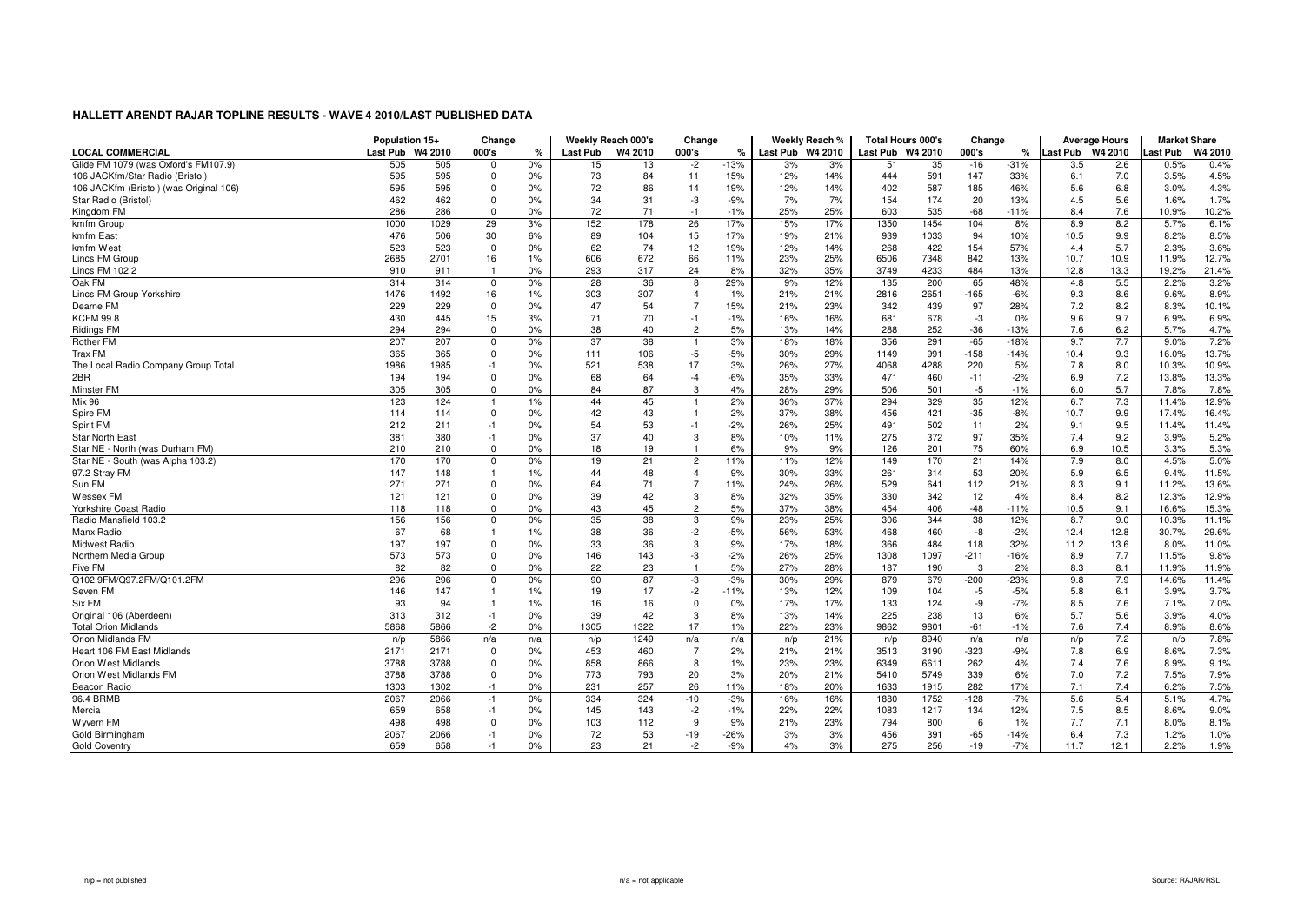|                                         | Population 15+   |      | Change                  |       | Weekly Reach 000's |         | Change         |        |                  | Weekly Reach % | <b>Total Hours 000's</b> |      | Change |               | <b>Average Hours</b> |      | <b>Market Share</b> |         |
|-----------------------------------------|------------------|------|-------------------------|-------|--------------------|---------|----------------|--------|------------------|----------------|--------------------------|------|--------|---------------|----------------------|------|---------------------|---------|
| <b>LOCAL COMMERCIAL</b>                 | Last Pub W4 2010 |      | 000's                   | %     | <b>Last Pub</b>    | W4 2010 | 000's          | %      | Last Pub W4 2010 |                | Last Pub W4 2010         |      | 000's  | $\frac{9}{6}$ | Last Pub W4 2010     |      | Last Pub            | W4 2010 |
| Glide FM 1079 (was Oxford's FM107.9)    | 505              | 505  | $\mathbf 0$             | 0%    | 15                 | 13      | $-2$           | $-13%$ | 3%               | 3%             | 51                       | 35   | $-16$  | $-31%$        | 3.5                  | 2.6  | 0.5%                | 0.4%    |
| 106 JACKfm/Star Radio (Bristol)         | 595              | 595  | $\mathbf 0$             | 0%    | 73                 | 84      | 11             | 15%    | 12%              | 14%            | 444                      | 591  | 147    | 33%           | 6.1                  | 7.0  | 3.5%                | 4.5%    |
| 106 JACKfm (Bristol) (was Original 106) | 595              | 595  | $\mathbf 0$             | 0%    | 72                 | 86      | 14             | 19%    | 12%              | 14%            | 402                      | 587  | 185    | 46%           | 5.6                  | 6.8  | 3.0%                | 4.3%    |
| Star Radio (Bristol)                    | 462              | 462  | $\mathbf{0}$            | 0%    | 34                 | 31      | -3             | $-9%$  | 7%               | 7%             | 154                      | 174  | 20     | 13%           | 4.5                  | 5.6  | 1.6%                | 1.7%    |
| Kingdom FM                              | 286              | 286  | $\mathbf{0}$            | 0%    | 72                 | 71      | $-1$           | $-1%$  | 25%              | 25%            | 603                      | 535  | $-68$  | $-11%$        | 8.4                  | 7.6  | 10.9%               | 10.2%   |
| kmfm Group                              | 1000             | 1029 | 29                      | 3%    | 152                | 178     | 26             | 17%    | 15%              | 17%            | 1350                     | 1454 | 104    | 8%            | 8.9                  | 8.2  | 5.7%                | 6.1%    |
| kmfm East                               | 476              | 506  | 30                      | 6%    | 89                 | 104     | 15             | 17%    | 19%              | 21%            | 939                      | 1033 | 94     | 10%           | 10.5                 | 9.9  | 8.2%                | 8.5%    |
| kmfm West                               | 523              | 523  | $\mathbf{0}$            | 0%    | 62                 | 74      | 12             | 19%    | 12%              | 14%            | 268                      | 422  | 154    | 57%           | 4.4                  | 5.7  | 2.3%                | 3.6%    |
| Lincs FM Group                          | 2685             | 2701 | 16                      | 1%    | 606                | 672     | 66             | 11%    | 23%              | 25%            | 6506                     | 7348 | 842    | 13%           | 10.7                 | 10.9 | 11.9%               | 12.7%   |
| Lincs FM 102.2                          | 910              | 911  | $\overline{1}$          | 0%    | 293                | 317     | 24             | 8%     | 32%              | 35%            | 3749                     | 4233 | 484    | 13%           | 12.8                 | 13.3 | 19.2%               | 21.4%   |
| Oak FM                                  | 314              | 314  | $\mathbf 0$             | 0%    | 28                 | 36      | 8              | 29%    | 9%               | 12%            | 135                      | 200  | 65     | 48%           | 4.8                  | 5.5  | 2.2%                | 3.2%    |
| Lincs FM Group Yorkshire                | 1476             | 1492 | 16                      | 1%    | 303                | 307     | $\overline{4}$ | 1%     | 21%              | 21%            | 2816                     | 2651 | $-165$ | $-6%$         | 9.3                  | 8.6  | 9.6%                | 8.9%    |
| Dearne FM                               | 229              | 229  | $\mathbf{0}$            | 0%    | 47                 | 54      | $\overline{7}$ | 15%    | 21%              | 23%            | 342                      | 439  | 97     | 28%           | 7.2                  | 8.2  | 8.3%                | 10.1%   |
| <b>KCFM 99.8</b>                        | 430              | 445  | 15                      | 3%    | 71                 | 70      | $-1$           | $-1%$  | 16%              | 16%            | 681                      | 678  | -3     | 0%            | 9.6                  | 9.7  | 6.9%                | 6.9%    |
| <b>Ridings FM</b>                       | 294              | 294  | $\mathbf 0$             | 0%    | 38                 | 40      | $\overline{c}$ | 5%     | 13%              | 14%            | 288                      | 252  | $-36$  | $-13%$        | 7.6                  | 6.2  | 5.7%                | 4.7%    |
| <b>Rother FM</b>                        | 207              | 207  | $\Omega$                | 0%    | 37                 | 38      |                | 3%     | 18%              | 18%            | 356                      | 291  | $-65$  | $-18%$        | 9.7                  | 7.7  | 9.0%                | 7.2%    |
| Trax FM                                 | 365              | 365  | $\mathbf{0}$            | 0%    | 111                | 106     | $-5$           | $-5%$  | 30%              | 29%            | 1149                     | 991  | $-158$ | $-14%$        | 10.4                 | 9.3  | 16.0%               | 13.7%   |
| The Local Radio Company Group Total     | 1986             | 1985 | $-1$                    | 0%    | 521                | 538     | 17             | 3%     | 26%              | 27%            | 4068                     | 4288 | 220    | 5%            | 7.8                  | 8.0  | 10.3%               | 10.9%   |
| 2BR                                     | 194              | 194  | $\mathbf 0$             | 0%    | 68                 | 64      | $-4$           | $-6%$  | 35%              | 33%            | 471                      | 460  | $-11$  | $-2%$         | 6.9                  | 7.2  | 13.8%               | 13.3%   |
| Minster FM                              | 305              | 305  | $\mathbf{0}$            | 0%    | 84                 | 87      | 3              | 4%     | 28%              | 29%            | 506                      | 501  | $-5$   | $-1%$         | 6.0                  | 5.7  | 7.8%                | 7.8%    |
| <b>Mix 96</b>                           | 123              | 124  |                         | 1%    | 44                 | 45      | $\mathbf{1}$   | 2%     | 36%              | 37%            | 294                      | 329  | 35     | 12%           | 6.7                  | 7.3  | 11.4%               | 12.9%   |
| Spire FM                                | 114              | 114  | $\mathbf 0$             | 0%    | 42                 | 43      | $\overline{1}$ | 2%     | 37%              | 38%            | 456                      | 421  | $-35$  | $-8%$         | 10.7                 | 9.9  | 17.4%               | 16.4%   |
| Spirit FM                               | 212              | 211  | $-1$                    | 0%    | 54                 | 53      | $-1$           | $-2%$  | 26%              | 25%            | 491                      | 502  | 11     | 2%            | 9.1                  | 9.5  | 11.4%               | 11.4%   |
| <b>Star North East</b>                  | 381              | 380  | $-1$                    | 0%    | 37                 | 40      | 3              | 8%     | 10%              | 11%            | 275                      | 372  | 97     | 35%           | 7.4                  | 9.2  | 3.9%                | 5.2%    |
| Star NE - North (was Durham FM)         | 210              | 210  | $\mathbf 0$             | 0%    | 18                 | 19      | $\overline{1}$ | 6%     | 9%               | 9%             | 126                      | 201  | 75     | 60%           | 6.9                  | 10.5 | 3.3%                | 5.3%    |
| Star NE - South (was Alpha 103.2)       | 170              | 170  | $\overline{\mathbf{0}}$ | 0%    | 19                 | 21      | $\overline{2}$ | 11%    | 11%              | 12%            | 149                      | 170  | 21     | 14%           | 7.9                  | 8.0  | 4.5%                | 5.0%    |
| 97.2 Stray FM                           | 147              | 148  | $\overline{1}$          | 1%    | 44                 | 48      | $\overline{4}$ | 9%     | 30%              | 33%            | 261                      | 314  | 53     | 20%           | 5.9                  | 6.5  | 9.4%                | 11.5%   |
| Sun FM                                  | 271              | 271  | $\Omega$                | 0%    | 64                 | 71      | $\overline{7}$ | 11%    | 24%              | 26%            | 529                      | 641  | 112    | 21%           | 8.3                  | 9.1  | 11.2%               | 13.6%   |
| <b>Wessex FM</b>                        | 121              | 121  | $\Omega$                | 0%    | 39                 | 42      | 3              | 8%     | 32%              | 35%            | 330                      | 342  | 12     | 4%            | 8.4                  | 8.2  | 12.3%               | 12.9%   |
| Yorkshire Coast Radio                   | 118              | 118  | $\mathbf{0}$            | 0%    | 43                 | 45      | $\overline{2}$ | 5%     | 37%              | 38%            | 454                      | 406  | $-48$  | $-11%$        | 10.5                 | 9.1  | 16.6%               | 15.3%   |
| Radio Mansfield 103.2                   | 156              | 156  | $\mathbf 0$             | 0%    | 35                 | 38      | 3              | 9%     | 23%              | 25%            | 306                      | 344  | 38     | 12%           | 8.7                  | 9.0  | 10.3%               | 11.1%   |
| Manx Radio                              | 67               | 68   |                         | $1\%$ | 38                 | 36      | $-2$           | $-5%$  | 56%              | 53%            | 468                      | 460  | -8     | $-2%$         | 12.4                 | 12.8 | 30.7%               | 29.6%   |
| Midwest Radio                           | 197              | 197  | $\mathbf 0$             | 0%    | 33                 | 36      | 3              | 9%     | 17%              | 18%            | 366                      | 484  | 118    | 32%           | 11.2                 | 13.6 | 8.0%                | 11.0%   |
| Northern Media Group                    | 573              | 573  | $\mathbf{0}$            | 0%    | 146                | 143     | -3             | $-2%$  | 26%              | 25%            | 1308                     | 1097 | $-211$ | $-16%$        | 8.9                  | 7.7  | 11.5%               | 9.8%    |
| Five FM                                 | 82               | 82   | $\Omega$                | 0%    | 22                 | 23      | $\overline{1}$ | 5%     | 27%              | 28%            | 187                      | 190  | 3      | 2%            | 8.3                  | 8.1  | 11.9%               | 11.9%   |
| Q102.9FM/Q97.2FM/Q101.2FM               | 296              | 296  | $\overline{0}$          | 0%    | 90                 | 87      | -3             | $-3%$  | 30%              | 29%            | 879                      | 679  | $-200$ | $-23%$        | 9.8                  | 7.9  | 14.6%               | 11.4%   |
| Seven FM                                | 146              | 147  |                         | 1%    | 19                 | 17      | $-2$           | $-11%$ | 13%              | 12%            | 109                      | 104  | $-5$   | $-5%$         | 5.8                  | 6.1  | 3.9%                | 3.7%    |
| Six FM                                  | 93               | 94   |                         | 1%    | 16                 | 16      | $\mathbf 0$    | 0%     | 17%              | 17%            | 133                      | 124  | -9     | $-7%$         | 8.5                  | 7.6  | 7.1%                | 7.0%    |
| Original 106 (Aberdeen)                 | 313              | 312  | $-1$                    | 0%    | 39                 | 42      | 3              | 8%     | 13%              | 14%            | 225                      | 238  | 13     | 6%            | 5.7                  | 5.6  | 3.9%                | 4.0%    |
| <b>Total Orion Midlands</b>             | 5868             | 5866 | $-2$                    | 0%    | 1305               | 1322    | 17             | 1%     | 22%              | 23%            | 9862                     | 9801 | $-61$  | $-1%$         | 7.6                  | 7.4  | 8.9%                | 8.6%    |
| Orion Midlands FM                       | n/p              | 5866 | n/a                     | n/a   | n/p                | 1249    | n/a            | n/a    | n/p              | 21%            | n/p                      | 8940 | n/a    | n/a           | n/p                  | 7.2  | n/p                 | 7.8%    |
| Heart 106 FM East Midlands              | 2171             | 2171 | $\overline{0}$          | 0%    | 453                | 460     | $\overline{7}$ | 2%     | 21%              | 21%            | 3513                     | 3190 | $-323$ | -9%           | 7.8                  | 6.9  | 8.6%                | 7.3%    |
| Orion West Midlands                     | 3788             | 3788 | $\mathbf 0$             | 0%    | 858                | 866     | 8              | 1%     | 23%              | 23%            | 6349                     | 6611 | 262    | 4%            | 7.4                  | 7.6  | 8.9%                | 9.1%    |
| Orion West Midlands FM                  | 3788             | 3788 | $\mathbf 0$             | 0%    | 773                | 793     | 20             | 3%     | 20%              | 21%            | 5410                     | 5749 | 339    | 6%            | 7.0                  | 7.2  | 7.5%                | 7.9%    |
| Beacon Radio                            | 1303             | 1302 | $-1$                    | 0%    | 231                | 257     | 26             | 11%    | 18%              | 20%            | 1633                     | 1915 | 282    | 17%           | 7.1                  | 7.4  | 6.2%                | 7.5%    |
| 96.4 BRMB                               | 2067             | 2066 | $-1$                    | $0\%$ | 334                | 324     | $-10$          | $-3%$  | 16%              | 16%            | 1880                     | 1752 | $-128$ | $-7%$         | 5.6                  | 5.4  | 5.1%                | 4.7%    |
| Mercia                                  | 659              | 658  | $-1$                    | 0%    | 145                | 143     | $-2$           | $-1%$  | 22%              | 22%            | 1083                     | 1217 | 134    | 12%           | 7.5                  | 8.5  | 8.6%                | 9.0%    |
| Wyvern FM                               | 498              | 498  | $\Omega$                | 0%    | 103                | 112     | -9             | 9%     | 21%              | 23%            | 794                      | 800  | 6      | 1%            | 7.7                  | 7.1  | 8.0%                | 8.1%    |
| Gold Birmingham                         | 2067             | 2066 | $-1$                    | 0%    | 72                 | 53      | $-19$          | $-26%$ | 3%               | 3%             | 456                      | 391  | $-65$  | $-14%$        | 6.4                  | 7.3  | 1.2%                | 1.0%    |
| <b>Gold Coventry</b>                    | 659              | 658  | $-1$                    | 0%    | 23                 | 21      | $-2$           | $-9%$  | 4%               | 3%             | 275                      | 256  | $-19$  | $-7%$         | 11.7                 | 12.1 | 2.2%                | 1.9%    |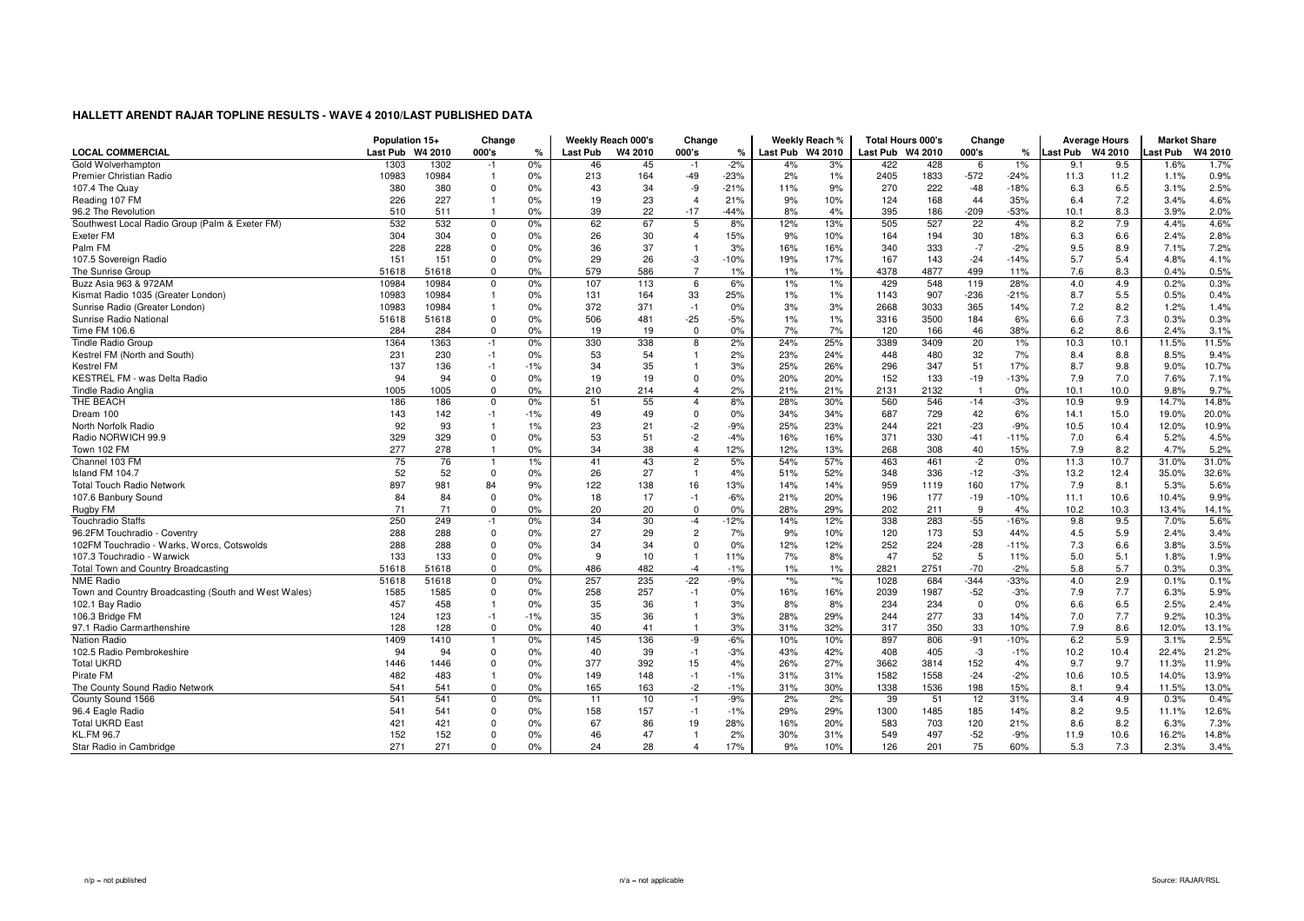|                                                      | Population 15+   |       | Change         |       | Weekly Reach 000's |         | Change         |        |                  | Weekly Reach %  | <b>Total Hours 000's</b> |      | Change         |               |                  | <b>Average Hours</b> | <b>Market Share</b> |         |
|------------------------------------------------------|------------------|-------|----------------|-------|--------------------|---------|----------------|--------|------------------|-----------------|--------------------------|------|----------------|---------------|------------------|----------------------|---------------------|---------|
| <b>LOCAL COMMERCIAL</b>                              | Last Pub W4 2010 |       | 000's          | %     | <b>Last Pub</b>    | W4 2010 | 000's          | ℀      | Last Pub W4 2010 |                 | Last Pub W4 2010         |      | 000's          | $\frac{9}{6}$ | Last Pub W4 2010 |                      | <b>Last Pub</b>     | W4 2010 |
| Gold Wolverhampton                                   | 1303             | 1302  | $-1$           | $0\%$ | 46                 | 45      | $-1$           | $-2%$  | 4%               | 3%              | 422                      | 428  | 6              | $1\%$         | 9.1              | 9.5                  | 1.6%                | 1.7%    |
| Premier Christian Radio                              | 10983            | 10984 | $\overline{1}$ | 0%    | 213                | 164     | $-49$          | $-23%$ | 2%               | 1%              | 2405                     | 1833 | $-572$         | $-24%$        | 11.3             | 11.2                 | 1.1%                | 0.9%    |
| 107.4 The Quav                                       | 380              | 380   | $\mathbf 0$    | 0%    | 43                 | 34      | -9             | $-21%$ | 11%              | 9%              | 270                      | 222  | $-48$          | $-18%$        | 6.3              | 6.5                  | 3.1%                | 2.5%    |
| Reading 107 FM                                       | 226              | 227   |                | 0%    | 19                 | 23      | $\overline{4}$ | 21%    | 9%               | 10%             | 124                      | 168  | 44             | 35%           | 6.4              | 7.2                  | 3.4%                | 4.6%    |
| 96.2 The Revolution                                  | 510              | 511   | $\overline{1}$ | 0%    | 39                 | 22      | $-17$          | $-44%$ | 8%               | 4%              | 395                      | 186  | $-209$         | $-53%$        | 10.1             | 8.3                  | 3.9%                | 2.0%    |
| Southwest Local Radio Group (Palm & Exeter FM)       | 532              | 532   | $\mathbf 0$    | 0%    | 62                 | 67      | 5              | 8%     | 12%              | 13%             | 505                      | 527  | 22             | 4%            | 8.2              | 7.9                  | 4.4%                | 4.6%    |
| Exeter FM                                            | 304              | 304   | $\Omega$       | $0\%$ | 26                 | 30      | $\overline{4}$ | 15%    | 9%               | 10%             | 164                      | 194  | 30             | 18%           | 6.3              | 6.6                  | 2.4%                | 2.8%    |
| Palm FM                                              | 228              | 228   | $\Omega$       | 0%    | 36                 | 37      | $\overline{1}$ | 3%     | 16%              | 16%             | 340                      | 333  | $-7$           | $-2%$         | 9.5              | 8.9                  | 7.1%                | 7.2%    |
| 107.5 Sovereign Radio                                | 151              | 151   | $\mathbf{0}$   | 0%    | 29                 | 26      | -3             | $-10%$ | 19%              | 17%             | 167                      | 143  | $-24$          | $-14%$        | 5.7              | 5.4                  | 4.8%                | 4.1%    |
| The Sunrise Group                                    | 51618            | 51618 | $\mathbf{0}$   | 0%    | 579                | 586     | $\overline{7}$ | 1%     | 1%               | 1%              | 4378                     | 4877 | 499            | 11%           | 7.6              | 8.3                  | 0.4%                | 0.5%    |
| Buzz Asia 963 & 972AM                                | 10984            | 10984 | $\mathbf 0$    | 0%    | 107                | 113     | 6              | 6%     | 1%               | 1%              | 429                      | 548  | 119            | 28%           | 4.0              | 4.9                  | 0.2%                | 0.3%    |
| Kismat Radio 1035 (Greater London)                   | 10983            | 10984 | $\overline{1}$ | 0%    | 131                | 164     | 33             | 25%    | 1%               | 1%              | 1143                     | 907  | $-236$         | $-21%$        | 8.7              | 5.5                  | 0.5%                | 0.4%    |
| Sunrise Radio (Greater London)                       | 10983            | 10984 |                | 0%    | 372                | 371     | $-1$           | 0%     | 3%               | 3%              | 2668                     | 3033 | 365            | 14%           | 7.2              | 8.2                  | 1.2%                | 1.4%    |
| Sunrise Radio National                               | 51618            | 51618 | $\mathbf 0$    | 0%    | 506                | 481     | $-25$          | $-5%$  | 1%               | 1%              | 3316                     | 3500 | 184            | 6%            | 6.6              | 7.3                  | 0.3%                | 0.3%    |
| Time FM 106.6                                        | 284              | 284   | $\mathbf{0}$   | 0%    | 19                 | 19      | $\mathbf{0}$   | 0%     | 7%               | 7%              | 120                      | 166  | 46             | 38%           | 6.2              | 8.6                  | 2.4%                | 3.1%    |
| <b>Tindle Radio Group</b>                            | 1364             | 1363  | $-1$           | 0%    | 330                | 338     | 8              | 2%     | 24%              | 25%             | 3389                     | 3409 | 20             | $1\%$         | 10.3             | 10.1                 | 11.5%               | 11.5%   |
| Kestrel FM (North and South)                         | 231              | 230   | $-1$           | 0%    | 53                 | 54      | $\overline{1}$ | 2%     | 23%              | 24%             | 448                      | 480  | 32             | 7%            | 8.4              | 8.8                  | 8.5%                | 9.4%    |
| <b>Kestrel FM</b>                                    | 137              | 136   | $-1$           | $-1%$ | 34                 | 35      | $\mathbf{1}$   | 3%     | 25%              | 26%             | 296                      | 347  | 51             | 17%           | 8.7              | 9.8                  | 9.0%                | 10.7%   |
| KESTREL FM - was Delta Radio                         | 94               | 94    | $\mathbf 0$    | 0%    | 19                 | 19      | $\mathbf 0$    | 0%     | 20%              | 20%             | 152                      | 133  | $-19$          | $-13%$        | 7.9              | 7.0                  | 7.6%                | 7.1%    |
| Tindle Radio Anglia                                  | 1005             | 1005  | $\mathbf 0$    | 0%    | 210                | 214     | $\overline{4}$ | 2%     | 21%              | 21%             | 2131                     | 2132 | $\overline{1}$ | 0%            | 10.1             | 10.0                 | 9.8%                | 9.7%    |
| THE BEACH                                            | 186              | 186   | $\Omega$       | 0%    | 51                 | 55      | $\overline{4}$ | 8%     | 28%              | 30%             | 560                      | 546  | $-14$          | $-3%$         | 10.9             | 9.9                  | 14.7%               | 14.8%   |
| Dream 100                                            | 143              | 142   | $-1$           | $-1%$ | 49                 | 49      | $\mathbf 0$    | 0%     | 34%              | 34%             | 687                      | 729  | 42             | 6%            | 14.1             | 15.0                 | 19.0%               | 20.0%   |
| North Norfolk Radio                                  | 92               | 93    | $\overline{1}$ | 1%    | 23                 | 21      | $-2$           | $-9%$  | 25%              | 23%             | 244                      | 221  | $-23$          | $-9%$         | 10.5             | 10.4                 | 12.0%               | 10.9%   |
| Radio NORWICH 99.9                                   | 329              | 329   | $\mathbf{0}$   | 0%    | 53                 | 51      | $-2$           | $-4%$  | 16%              | 16%             | 371                      | 330  | $-41$          | $-11%$        | 7.0              | 6.4                  | 5.2%                | 4.5%    |
| Town 102 FM                                          | 277              | 278   | $\overline{1}$ | 0%    | 34                 | 38      | $\overline{4}$ | 12%    | 12%              | 13%             | 268                      | 308  | 40             | 15%           | 7.9              | 8.2                  | 4.7%                | 5.2%    |
| Channel 103 FM                                       | 75               | 76    | 1              | 1%    | 41                 | 43      | $\overline{2}$ | 5%     | 54%              | 57%             | 463                      | 461  | $-2$           | 0%            | 11.3             | 10.7                 | 31.0%               | 31.0%   |
| Island FM 104.7                                      | 52               | 52    | $\mathbf{0}$   | 0%    | 26                 | 27      | $\overline{1}$ | 4%     | 51%              | 52%             | 348                      | 336  | $-12$          | $-3%$         | 13.2             | 12.4                 | 35.0%               | 32.6%   |
| <b>Total Touch Radio Network</b>                     | 897              | 981   | 84             | 9%    | 122                | 138     | 16             | 13%    | 14%              | 14%             | 959                      | 1119 | 160            | 17%           | 7.9              | 8.1                  | 5.3%                | 5.6%    |
| 107.6 Banbury Sound                                  | 84               | 84    | $\mathbf 0$    | 0%    | 18                 | 17      | $-1$           | $-6%$  | 21%              | 20%             | 196                      | 177  | $-19$          | $-10%$        | 11.1             | 10.6                 | 10.4%               | 9.9%    |
| Rugby FM                                             | 71               | 71    | $\mathbf{0}$   | 0%    | 20                 | 20      | $\mathbf{0}$   | 0%     | 28%              | 29%             | 202                      | 211  | 9              | 4%            | 10.2             | 10.3                 | 13.4%               | 14.1%   |
| <b>Touchradio Staffs</b>                             | 250              | 249   | $-1$           | 0%    | 34                 | 30      | $-4$           | $-12%$ | 14%              | 12%             | 338                      | 283  | $-55$          | $-16%$        | 9.8              | 9.5                  | 7.0%                | 5.6%    |
| 96.2FM Touchradio - Coventry                         | 288              | 288   | $\mathbf 0$    | 0%    | 27                 | 29      | $\overline{c}$ | 7%     | 9%               | 10%             | 120                      | 173  | 53             | 44%           | 4.5              | 5.9                  | 2.4%                | 3.4%    |
| 102FM Touchradio - Warks, Worcs, Cotswolds           | 288              | 288   | $\Omega$       | 0%    | 34                 | 34      | $\overline{0}$ | 0%     | 12%              | 12%             | 252                      | 224  | $-28$          | $-11%$        | 7.3              | 6.6                  | 3.8%                | 3.5%    |
| 107.3 Touchradio - Warwick                           | 133              | 133   | $\mathbf 0$    | 0%    | 9                  | 10      | $\overline{1}$ | 11%    | 7%               | 8%              | 47                       | 52   | 5              | 11%           | 5.0              | 5.1                  | 1.8%                | 1.9%    |
| Total Town and Country Broadcasting                  | 51618            | 51618 | $\Omega$       | 0%    | 486                | 482     | $-4$           | $-1%$  | 1%               | 1%              | 2821                     | 2751 | $-70$          | $-2%$         | 5.8              | 5.7                  | 0.3%                | 0.3%    |
| NME Radio                                            | 51618            | 51618 | $\Omega$       | 0%    | 257                | 235     | $-22$          | $-9%$  | $*$ %            | $\overline{\ }$ | 1028                     | 684  | $-344$         | $-33%$        | 4.0              | 2.9                  | 0.1%                | 0.1%    |
| Town and Country Broadcasting (South and West Wales) | 1585             | 1585  | $\mathbf{0}$   | 0%    | 258                | 257     | $-1$           | 0%     | 16%              | 16%             | 2039                     | 1987 | $-52$          | $-3%$         | 7.9              | 7.7                  | 6.3%                | 5.9%    |
| 102.1 Bay Radio                                      | 457              | 458   | $\overline{1}$ | 0%    | 35                 | 36      | $\overline{1}$ | 3%     | 8%               | 8%              | 234                      | 234  | $\mathbf 0$    | 0%            | 6.6              | 6.5                  | 2.5%                | 2.4%    |
| 106.3 Bridge FM                                      | 124              | 123   | $-1$           | $-1%$ | 35                 | 36      | $\overline{1}$ | 3%     | 28%              | 29%             | 244                      | 277  | 33             | 14%           | 7.0              | 7.7                  | 9.2%                | 10.3%   |
| 97.1 Radio Carmarthenshire                           | 128              | 128   | $\mathbf 0$    | 0%    | 40                 | 41      | $\overline{1}$ | 3%     | 31%              | 32%             | 317                      | 350  | 33             | 10%           | 7.9              | 8.6                  | 12.0%               | 13.1%   |
| Nation Radio                                         | 1409             | 1410  | $\overline{1}$ | 0%    | 145                | 136     | -9             | $-6%$  | 10%              | 10%             | 897                      | 806  | $-91$          | $-10%$        | 6.2              | 5.9                  | 3.1%                | 2.5%    |
| 102.5 Radio Pembrokeshire                            | 94               | 94    | $\Omega$       | 0%    | 40                 | 39      | $-1$           | $-3%$  | 43%              | 42%             | 408                      | 405  | -3             | $-1%$         | 10.2             | 10.4                 | 22.4%               | 21.2%   |
| <b>Total UKRD</b>                                    | 1446             |       | $\mathbf{0}$   | 0%    | 377                | 392     |                | 4%     |                  | 27%             |                          | 3814 |                |               | 9.7              | 9.7                  |                     | 11.9%   |
|                                                      |                  | 1446  |                |       |                    |         | 15             |        | 26%              |                 | 3662                     | 1558 | 152            | 4%            |                  |                      | 11.3%               |         |
| Pirate FM                                            | 482              | 483   |                | 0%    | 149                | 148     | $-1$           | $-1%$  | 31%              | 31%             | 1582                     |      | $-24$          | $-2%$         | 10.6             | 10.5                 | 14.0%               | 13.9%   |
| The County Sound Radio Network                       | 541              | 541   | $\mathbf{0}$   | 0%    | 165                | 163     | $-2$           | $-1%$  | 31%              | 30%             | 1338                     | 1536 | 198            | 15%           | 8.1              | 9.4                  | 11.5%               | 13.0%   |
| County Sound 1566                                    | 541              | 541   | $\mathbf 0$    | 0%    | 11                 | 10      | $-1$           | $-9%$  | 2%               | 2%              | 39                       | 51   | 12             | 31%           | 3.4              | 4.9                  | 0.3%                | 0.4%    |
| 96.4 Eagle Radio                                     | 541              | 541   | $\Omega$       | 0%    | 158                | 157     | $-1$           | $-1%$  | 29%              | 29%             | 1300                     | 1485 | 185            | 14%           | 8.2              | 9.5                  | 11.1%               | 12.6%   |
| <b>Total UKRD East</b>                               | 421              | 421   | $\Omega$       | $0\%$ | 67                 | 86      | 19             | 28%    | 16%              | 20%             | 583                      | 703  | 120            | 21%           | 8.6              | 8.2                  | 6.3%                | 7.3%    |
| <b>KL.FM 96.7</b>                                    | 152              | 152   | $\Omega$       | 0%    | 46                 | 47      | $\overline{1}$ | 2%     | 30%              | 31%             | 549                      | 497  | $-52$          | $-9%$         | 11.9             | 10.6                 | 16.2%               | 14.8%   |
| Star Radio in Cambridge                              | 271              | 271   | $\mathbf 0$    | 0%    | 24                 | 28      | $\overline{4}$ | 17%    | 9%               | 10%             | 126                      | 201  | 75             | 60%           | 5.3              | 7.3                  | 2.3%                | 3.4%    |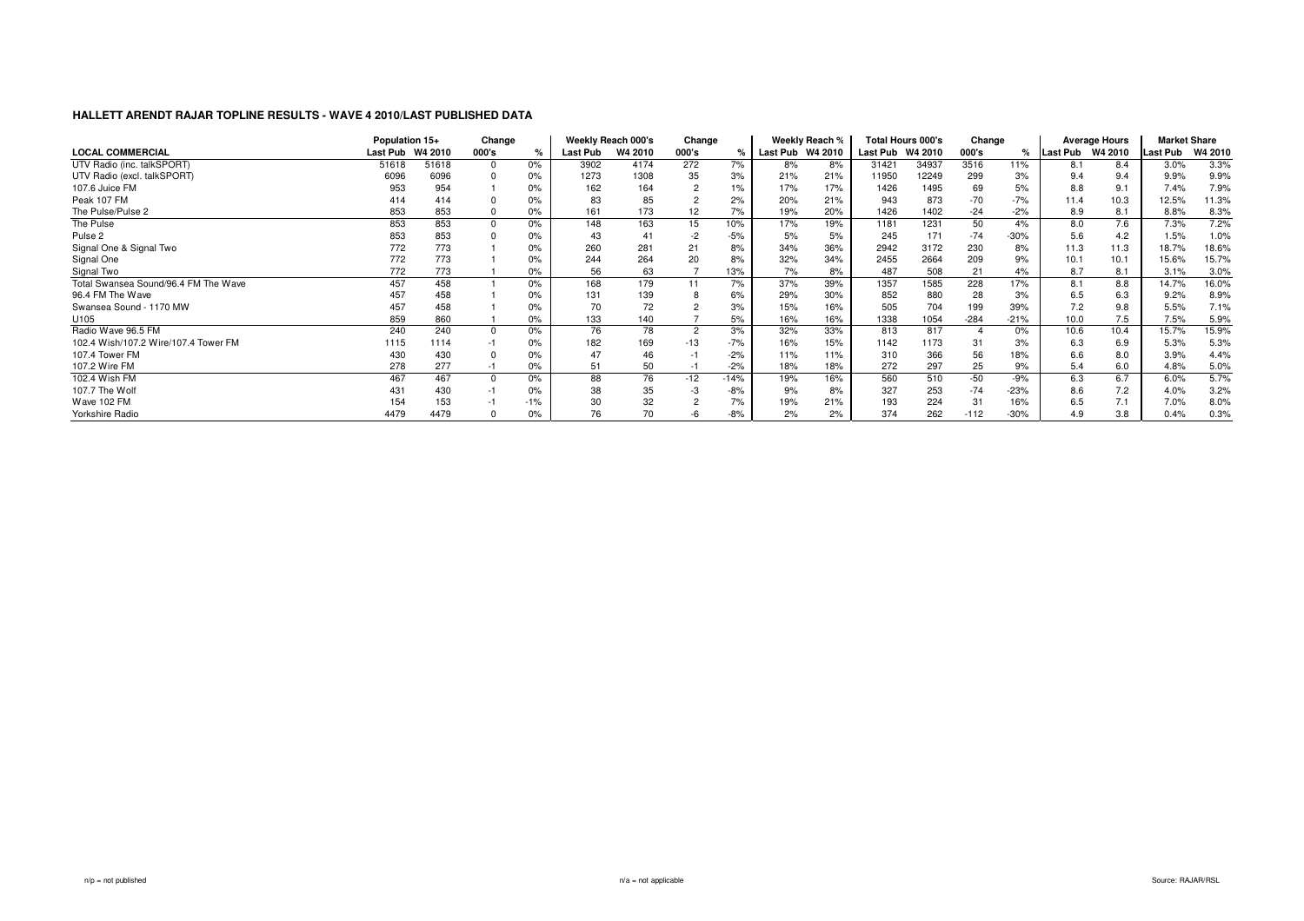|                                      | Population 15+   |       | Change |       |          | Weekly Reach 000's | Change         |        |                  | Weekly Reach % |                  | <b>Total Hours 000's</b> | Change |               |                  | <b>Average Hours</b> | <b>Market Share</b> |                |
|--------------------------------------|------------------|-------|--------|-------|----------|--------------------|----------------|--------|------------------|----------------|------------------|--------------------------|--------|---------------|------------------|----------------------|---------------------|----------------|
| <b>LOCAL COMMERCIAL</b>              | Last Pub W4 2010 |       | 000's  | $\%$  | Last Pub | W4 2010            | 000's          |        | Last Pub W4 2010 |                | Last Pub W4 2010 |                          | 000's  | $\frac{1}{c}$ | Last Pub W4 2010 |                      | <b>Last Pub</b>     | <b>W4 2010</b> |
| UTV Radio (inc. talkSPORT)           | 51618            | 51618 |        | 0%    | 3902     | 4174               | 272            | 7%     | 8%               | 8%             | 31421            | 34937                    | 3516   | 11%           | 8.1              | 8.4                  | 3.0%                | 3.3%           |
| UTV Radio (excl. talkSPORT)          | 6096             | 6096  |        | 0%    | 1273     | 1308               | 35             | 3%     | 21%              | 21%            | 11950            | 12249                    | 299    | 3%            | 9.4              | 9.4                  | 9.9%                | 9.9%           |
| 107.6 Juice FM                       | 953              | 954   |        | 0%    | 162      | 164                | $\overline{c}$ | 1%     | 17%              | 17%            | 1426             | 1495                     | 69     |               | 8.8              | 9.1                  | 7.4%                | 7.9%           |
| Peak 107 FM                          |                  | 414   |        | 0%    | 83       | 85                 |                | 2%     | 20%              | 21%            | 943              | 873                      | $-70$  | $-7%$         | 11.4             | 10.3                 | 12.5%               | 11.3%          |
| The Pulse/Pulse 2                    | 853              | 853   |        | 0%    | 161      | 173                | 12             | 7%     | 19%              | 20%            | 1426             | 1402                     | $-24$  | $-2%$         | 8.9              | 8.1                  | 8.8%                | 8.3%           |
| The Pulse                            | 853              | 853   |        | 0%    | 148      | 163                | 15             | 10%    | 17%              | 19%            | 1181             | 1231                     | 50     | 4%            | 8.0              | 7.6                  | 7.3%                | 7.2%           |
| Pulse 2                              | 853              | 853   |        | 0%    | 43       | 41                 | $-2$           | $-5%$  | 5%               | 5%             | 245              | 171                      | $-74$  | $-30%$        | 5.6              | 4.2                  | 1.5%                | 1.0%           |
| Signal One & Signal Two              | 772              | 773   |        | 0%    | 260      | 281                | 21             | 8%     | 34%              | 36%            | 2942             | 3172                     | 230    | 8%            | 11.3             | 11.3                 | 18.7%               | 18.6%          |
| Signal One                           | 772              | 773   |        | 0%    | 244      | 264                | 20             | 8%     | 32%              | 34%            | 2455             | 2664                     | 209    | 9%            | 10.1             | 10.1                 | 15.6%               | 15.7%          |
| Signal Two                           | 772              | 773   |        | 0%    | 56       | 63                 |                | 13%    | 7%               | 8%             | 487              | 508                      | 21     | 4%            | 8.7              | 8.1                  | 3.1%                | 3.0%           |
| Total Swansea Sound/96.4 FM The Wave | 457              | 458   |        | 0%    | 168      | 179                | 11             | 7%     | 37%              | 39%            | 1357             | 1585                     | 228    | 17%           | 8.1              | 8.8                  | 14.7%               | 16.0%          |
| 96.4 FM The Wave                     | 457              | 458   |        | 0%    | 131      | 139                |                | 6%     | 29%              | 30%            | 852              | 880                      | 28     | 3%            | 6.5              | 6.3                  | 9.2%                | 8.9%           |
| Swansea Sound - 1170 MW              | 457              | 458   |        | 0%    | 70       | 72                 |                | 3%     | 15%              | 16%            | 505              | 704                      | 199    | 39%           | 7.2              | 9.8                  | 5.5%                | 7.1%           |
| U105                                 | 859              | 860   |        | 0%    | 133      | 140                |                | 5%     | 16%              | 16%            | 1338             | 1054                     | $-284$ | $-21%$        | 10.0             | 7.5                  | 7.5%                | 5.9%           |
| Radio Wave 96.5 FM                   | 240              | 240   |        | 0%    | 76       | 78                 | 2              | 3%     | 32%              | 33%            | 813              | 817                      |        | 0%            | 10.6             | 10.4                 | 15.7%               | 15.9%          |
| 102.4 Wish/107.2 Wire/107.4 Tower FM | 1115             | 1114  |        | 0%    | 182      | 169                | $-13$          | $-7%$  | 16%              | 15%            | 1142             | 1173                     | 31     | 3%            | 6.3              | 6.9                  | 5.3%                | 5.3%           |
| 107.4 Tower FM                       | 430              | 430   |        | 0%    | 47       | 46                 |                | $-2%$  | 11%              | 11%            | 310              | 366                      | 56     | 18%           | 6.6              | 8.0                  | 3.9%                | 4.4%           |
| 107.2 Wire FM                        | 278              | 277   |        | 0%    | 51       | 50                 |                | $-2%$  | 18%              | 18%            | 272              | 297                      | 25     | 9%            | 5.4              | 6.0                  | 4.8%                | 5.0%           |
| 102.4 Wish FM                        | 467              | 467   |        | 0%    | 88       | 76                 | -12            | $-14%$ | 19%              | 16%            | 560              | 510                      | $-50$  | $-9%$         | 6.3              | 6.7                  | 6.0%                | 5.7%           |
| 107.7 The Wolf                       | 431              | 430   |        | 0%    | 38       | 35                 | -3             | $-8%$  | 9%               | 8%             | 327              | 253                      | $-74$  | $-23%$        | 8.6              | 7.2                  | 4.0%                | 3.2%           |
| Wave 102 FM                          | 154              | 153   |        | $-1%$ | 30       | 32                 |                | 7%     | 19%              | 21%            | 193              | 224                      | 31     | 16%           | 6.5              | 7.1                  | 7.0%                | 8.0%           |
| Yorkshire Radio                      | 4479             | 4479  |        | 0%    | 76       | 70                 |                | $-8%$  | 2%               | 2%             | 374              | 262                      | $-112$ | $-30%$        | 4.9              | 3.8                  | 0.4%                | 0.3%           |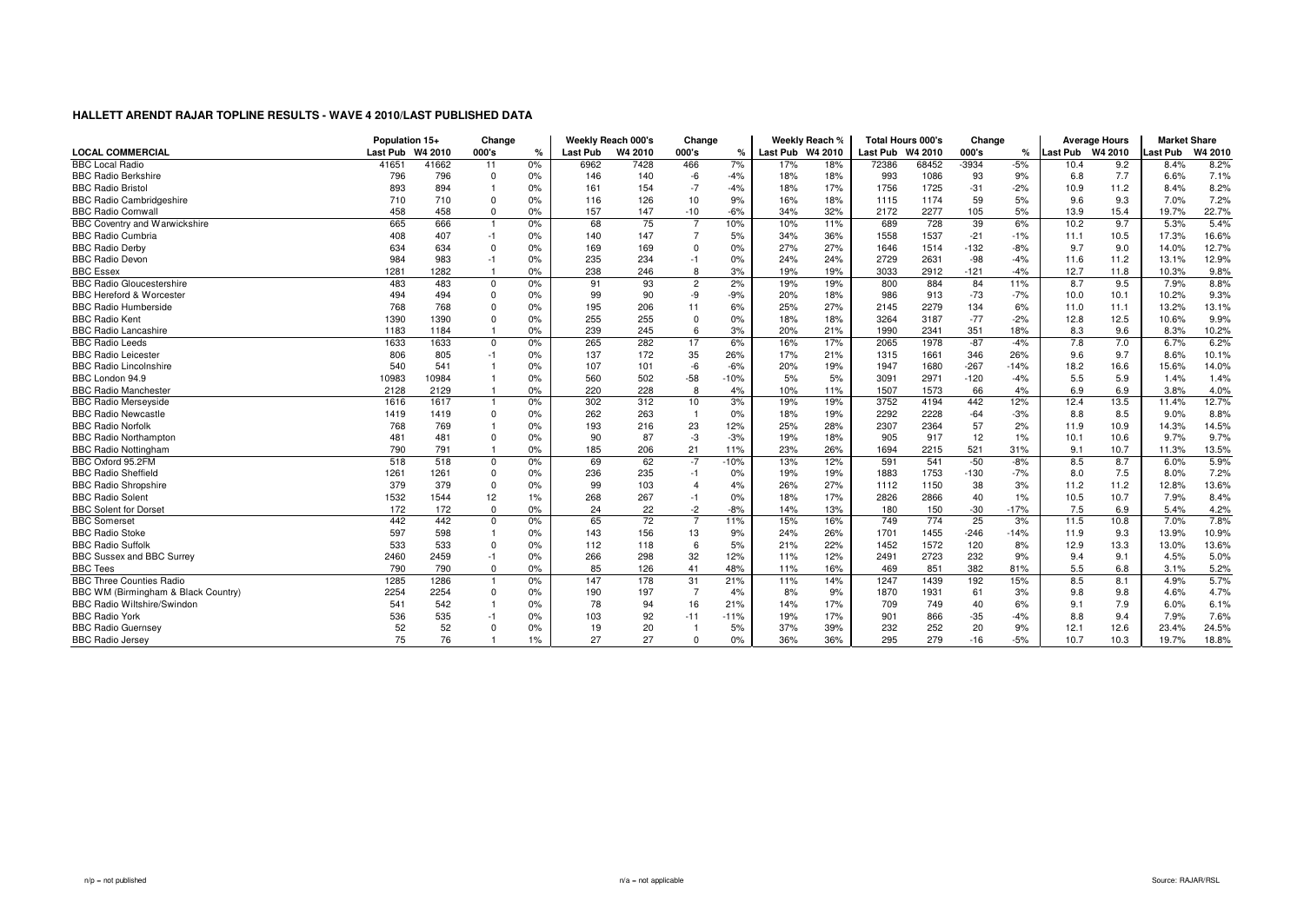|                                      | Population 15+   |       | Change      |    |                 | Weekly Reach 000's | Change         |        |                  | Weekly Reach % |                  | <b>Total Hours 000's</b> | Change  |        |                  | Average Hours | <b>Market Share</b> |         |
|--------------------------------------|------------------|-------|-------------|----|-----------------|--------------------|----------------|--------|------------------|----------------|------------------|--------------------------|---------|--------|------------------|---------------|---------------------|---------|
| <b>LOCAL COMMERCIAL</b>              | Last Pub W4 2010 |       | 000's       | %  | <b>Last Pub</b> | W4 2010            | 000's          | ℀      | Last Pub W4 2010 |                | Last Pub W4 2010 |                          | 000's   | ℀      | Last Pub W4 2010 |               | ast Pub             | W4 2010 |
| <b>BBC Local Radio</b>               | 41651            | 41662 | 11          | 0% | 6962            | 7428               | 466            | 7%     | 17%              | 18%            | 72386            | 68452                    | $-3934$ | $-5%$  | 10.4             | 9.2           | 8.4%                | 8.2%    |
| <b>BBC Radio Berkshire</b>           | 796              | 796   | $\Omega$    | 0% | 146             | 140                | $-6$           | $-4%$  | 18%              | 18%            | 993              | 1086                     | 93      | 9%     | 6.8              | 7.7           | 6.6%                | 7.1%    |
| <b>BBC Radio Bristol</b>             | 893              | 894   |             | 0% | 161             | 154                | $-7$           | $-4%$  | 18%              | 17%            | 1756             | 1725                     | $-31$   | $-2%$  | 10.9             | 11.2          | 8.4%                | 8.2%    |
| <b>BBC Radio Cambridgeshire</b>      | 710              | 710   | $\Omega$    | 0% | 116             | 126                | 10             | 9%     | 16%              | 18%            | 1115             | 1174                     | 59      | 5%     | 9.6              | 9.3           | 7.0%                | 7.2%    |
| <b>BBC Radio Cornwall</b>            | 458              | 458   | $\Omega$    | 0% | 157             | 147                | $-10$          | $-6%$  | 34%              | 32%            | 2172             | 2277                     | 105     | 5%     | 13.9             | 15.4          | 19.7%               | 22.7%   |
| <b>BBC Coventry and Warwickshire</b> | 665              | 666   |             | 0% | 68              | 75                 | $\overline{7}$ | 10%    | 10%              | 11%            | 689              | 728                      | 39      | 6%     | 10.2             | 9.7           | 5.3%                | 5.4%    |
| <b>BBC Radio Cumbria</b>             | 408              | 407   | $-1$        | 0% | 140             | 147                | $\overline{7}$ | 5%     | 34%              | 36%            | 1558             | 1537                     | $-21$   | $-1%$  | 11.1             | 10.5          | 17.3%               | 16.6%   |
| <b>BBC Radio Derby</b>               | 634              | 634   |             | 0% | 169             | 169                | $\mathbf 0$    | 0%     | 27%              | 27%            | 1646             | 1514                     | $-132$  | $-8%$  | 9.7              | 9.0           | 14.0%               | 12.7%   |
| <b>BBC Radio Devon</b>               | 984              | 983   | $-1$        | 0% | 235             | 234                | $-1$           | 0%     | 24%              | 24%            | 2729             | 2631                     | $-98$   | $-4%$  | 11.6             | 11.2          | 13.1%               | 12.9%   |
| <b>BBC Essex</b>                     | 1281             | 1282  |             | 0% | 238             | 246                | 8              | 3%     | 19%              | 19%            | 3033             | 2912                     | $-121$  | $-4%$  | 12.7             | 11.8          | 10.3%               | 9.8%    |
| <b>BBC Radio Gloucestershire</b>     | 483              | 483   | 0           | 0% | 91              | 93                 | $\overline{2}$ | 2%     | 19%              | 19%            | 800              | 884                      | 84      | 11%    | 8.7              | 9.5           | 7.9%                | 8.8%    |
| <b>BBC Hereford &amp; Worcester</b>  | 494              | 494   |             | 0% | 99              | 90                 | -9             | $-9%$  | 20%              | 18%            | 986              | 913                      | $-73$   | $-7%$  | 10.0             | 10.1          | 10.2%               | 9.3%    |
| <b>BBC Radio Humberside</b>          | 768              | 768   |             | 0% | 195             | 206                | 11             | 6%     | 25%              | 27%            | 2145             | 2279                     | 134     | 6%     | 11.0             | 11.1          | 13.2%               | 13.1%   |
| <b>BBC Radio Kent</b>                | 1390             | 1390  | $\Omega$    | 0% | 255             | 255                | $\mathbf 0$    | 0%     | 18%              | 18%            | 3264             | 3187                     | $-77$   | $-2%$  | 12.8             | 12.5          | 10.6%               | 9.9%    |
| <b>BBC Radio Lancashire</b>          | 1183             | 1184  |             | 0% | 239             | 245                | 6              | 3%     | 20%              | 21%            | 1990             | 2341                     | 351     | 18%    | 8.3              | 9.6           | 8.3%                | 10.2%   |
| <b>BBC Radio Leeds</b>               | 1633             | 1633  | $\Omega$    | 0% | 265             | 282                | 17             | 6%     | 16%              | 17%            | 2065             | 1978                     | $-87$   | $-4%$  | 7.8              | 7.0           | 6.7%                | 6.2%    |
| <b>BBC Radio Leicester</b>           | 806              | 805   | $-1$        | 0% | 137             | 172                | 35             | 26%    | 17%              | 21%            | 1315             | 1661                     | 346     | 26%    | 9.6              | 9.7           | 8.6%                | 10.1%   |
| <b>BBC Radio Lincolnshire</b>        | 540              | 541   |             | 0% | 107             | 101                | $-6$           | $-6%$  | 20%              | 19%            | 1947             | 1680                     | $-267$  | $-14%$ | 18.2             | 16.6          | 15.6%               | 14.0%   |
| BBC London 94.9                      | 10983            | 10984 |             | 0% | 560             | 502                | $-58$          | $-10%$ | 5%               | 5%             | 3091             | 2971                     | $-120$  | $-4%$  | 5.5              | 5.9           | 1.4%                | 1.4%    |
| <b>BBC Radio Manchester</b>          | 2128             | 2129  |             | 0% | 220             | 228                | 8              | 4%     | 10%              | 11%            | 1507             | 1573                     | 66      | 4%     | 6.9              | 6.9           | 3.8%                | 4.0%    |
| <b>BBC Radio Merseyside</b>          | 1616             | 1617  | -1          | 0% | 302             | 312                | 10             | 3%     | 19%              | 19%            | 3752             | 4194                     | 442     | 12%    | 12.4             | 13.5          | 11.4%               | 12.7%   |
| <b>BBC Radio Newcastle</b>           | 1419             | 1419  | 0           | 0% | 262             | 263                | $\overline{1}$ | 0%     | 18%              | 19%            | 2292             | 2228                     | $-64$   | $-3%$  | 8.8              | 8.5           | 9.0%                | 8.8%    |
| <b>BBC Radio Norfolk</b>             | 768              | 769   |             | 0% | 193             | 216                | 23             | 12%    | 25%              | 28%            | 2307             | 2364                     | 57      | 2%     | 11.9             | 10.9          | 14.3%               | 14.5%   |
| <b>BBC Radio Northampton</b>         | 481              | 481   |             | 0% | 90              | 87                 | -3             | $-3%$  | 19%              | 18%            | 905              | 917                      | 12      | 1%     | 10.1             | 10.6          | 9.7%                | 9.7%    |
| <b>BBC Radio Nottingham</b>          | 790              | 791   |             | 0% | 185             | 206                | 21             | 11%    | 23%              | 26%            | 1694             | 2215                     | 521     | 31%    | 9.1              | 10.7          | 11.3%               | 13.5%   |
| BBC Oxford 95.2FM                    | 518              | 518   | $\Omega$    | 0% | 69              | 62                 | $-7$           | $-10%$ | 13%              | 12%            | 591              | 541                      | $-50$   | $-8%$  | 8.5              | 8.7           | 6.0%                | 5.9%    |
| <b>BBC Radio Sheffield</b>           | 1261             | 1261  |             | 0% | 236             | 235                | $-1$           | 0%     | 19%              | 19%            | 1883             | 1753                     | $-130$  | $-7%$  | 8.0              | 7.5           | 8.0%                | 7.2%    |
| <b>BBC Radio Shropshire</b>          | 379              | 379   | $\Omega$    | 0% | 99              | 103                | $\overline{4}$ | 4%     | 26%              | 27%            | 1112             | 1150                     | 38      | 3%     | 11.2             | 11.2          | 12.8%               | 13.6%   |
| <b>BBC Radio Solent</b>              | 1532             | 1544  | 12          | 1% | 268             | 267                | $-1$           | 0%     | 18%              | 17%            | 2826             | 2866                     | 40      | 1%     | 10.5             | 10.7          | 7.9%                | 8.4%    |
| <b>BBC Solent for Dorset</b>         | 172              | 172   | $\mathbf 0$ | 0% | 24              | 22                 | $-2$           | $-8%$  | 14%              | 13%            | 180              | 150                      | $-30$   | $-17%$ | 7.5              | 6.9           | 5.4%                | 4.2%    |
| <b>BBC</b> Somerset                  | 442              | 442   | $\Omega$    | 0% | 65              | $\overline{72}$    |                | 11%    | 15%              | 16%            | 749              | 774                      | 25      | 3%     | 11.5             | 10.8          | 7.0%                | 7.8%    |
| <b>BBC Radio Stoke</b>               | 597              | 598   |             | 0% | 143             | 156                | 13             | 9%     | 24%              | 26%            | 1701             | 1455                     | $-246$  | $-14%$ | 11.9             | 9.3           | 13.9%               | 10.9%   |
| <b>BBC Radio Suffolk</b>             | 533              | 533   |             | 0% | 112             | 118                | 6              | 5%     | 21%              | 22%            | 1452             | 1572                     | 120     | 8%     | 12.9             | 13.3          | 13.0%               | 13.6%   |
| BBC Sussex and BBC Surrey            | 2460             | 2459  | $-1$        | 0% | 266             | 298                | 32             | 12%    | 11%              | 12%            | 2491             | 2723                     | 232     | 9%     | 9.4              | 9.1           | 4.5%                | 5.0%    |
| <b>BBC Tees</b>                      | 790              | 790   | $\Omega$    | 0% | 85              | 126                | 41             | 48%    | 11%              | 16%            | 469              | 851                      | 382     | 81%    | 5.5              | 6.8           | 3.1%                | 5.2%    |
| <b>BBC Three Counties Radio</b>      | 1285             | 1286  |             | 0% | 147             | 178                | 31             | 21%    | 11%              | 14%            | 1247             | 1439                     | 192     | 15%    | 8.5              | 8.1           | 4.9%                | 5.7%    |
| BBC WM (Birmingham & Black Country)  | 2254             | 2254  |             | 0% | 190             | 197                | $\overline{7}$ | 4%     | 8%               | 9%             | 1870             | 1931                     | 61      | 3%     | 9.8              | 9.8           | 4.6%                | 4.7%    |
| <b>BBC Radio Wiltshire/Swindon</b>   | 541              | 542   |             | 0% | 78              | 94                 | 16             | 21%    | 14%              | 17%            | 709              | 749                      | 40      | 6%     | 9.1              | 7.9           | 6.0%                | 6.1%    |
| <b>BBC Radio York</b>                | 536              | 535   | -1          | 0% | 103             | 92                 | $-11$          | $-11%$ | 19%              | 17%            | 901              | 866                      | $-35$   | $-4%$  | 8.8              | 9.4           | 7.9%                | 7.6%    |
| <b>BBC Radio Guernsey</b>            | 52               | 52    |             | 0% | 19              | 20                 |                | 5%     | 37%              | 39%            | 232              | 252                      | 20      | 9%     | 12.1             | 12.6          | 23.4%               | 24.5%   |
| <b>BBC Radio Jersey</b>              | 75               | 76    |             | 1% | 27              | 27                 | $\Omega$       | 0%     | 36%              | 36%            | 295              | 279                      | $-16$   | $-5%$  | 10.7             | 10.3          | 19.7%               | 18.8%   |